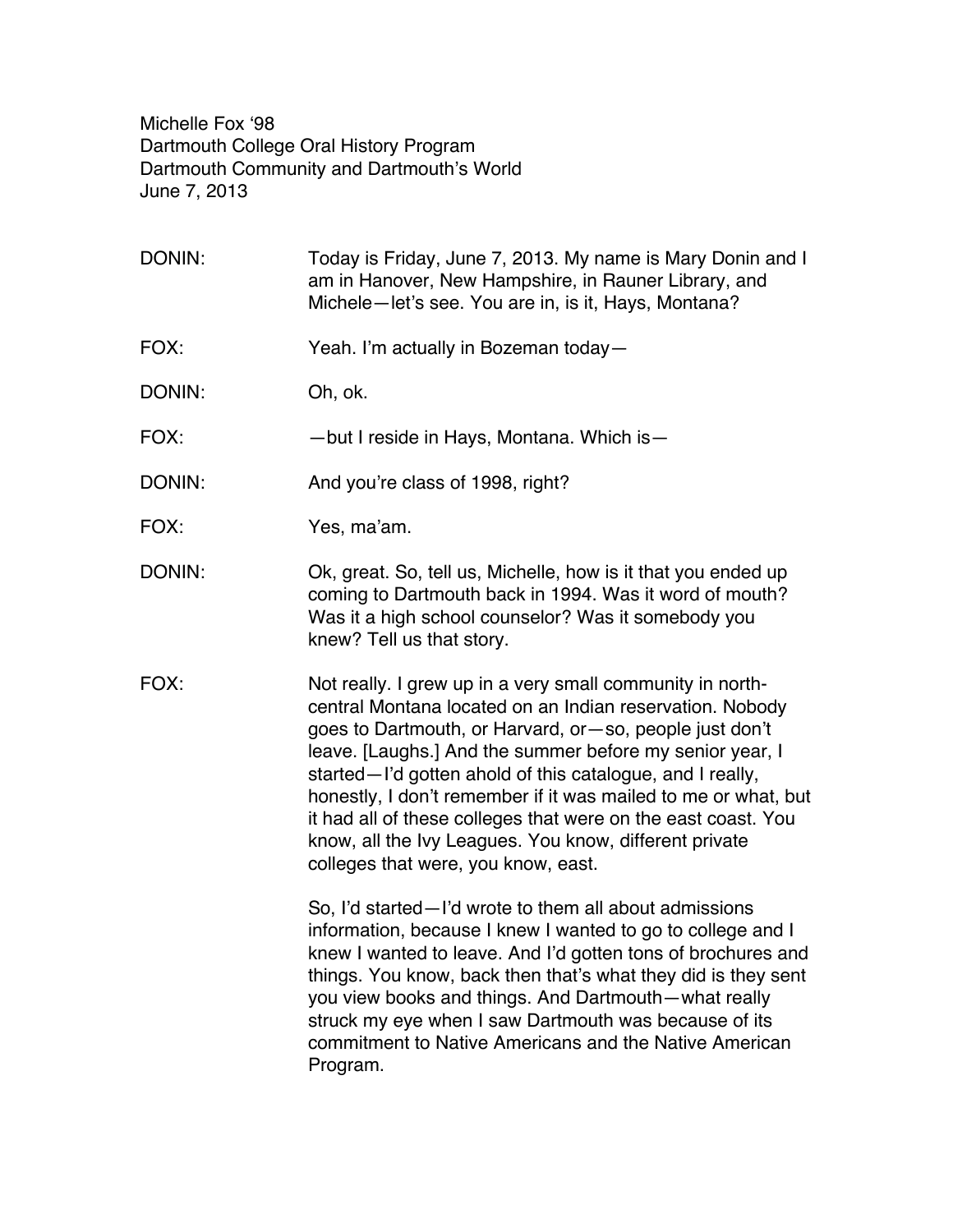Michelle Fox '98 Dartmouth College Oral History Program Dartmouth Community and Dartmouth's World June 7, 2013

DONIN: Today is Friday, June 7, 2013. My name is Mary Donin and I am in Hanover, New Hampshire, in Rauner Library, and Michele—let's see. You are in, is it, Hays, Montana? FOX: Yeah. I'm actually in Bozeman today— DONIN: Oh, ok. FOX: — but I reside in Hays, Montana. Which is DONIN: And you're class of 1998, right? FOX: Yes, ma'am. DONIN: Ok, great. So, tell us, Michelle, how is it that you ended up coming to Dartmouth back in 1994. Was it word of mouth? Was it a high school counselor? Was it somebody you knew? Tell us that story. FOX: Not really. I grew up in a very small community in northcentral Montana located on an Indian reservation. Nobody goes to Dartmouth, or Harvard, or—so, people just don't leave. [Laughs.] And the summer before my senior year, I started—I'd gotten ahold of this catalogue, and I really, honestly, I don't remember if it was mailed to me or what, but it had all of these colleges that were on the east coast. You know, all the Ivy Leagues. You know, different private colleges that were, you know, east. So, I'd started—I'd wrote to them all about admissions information, because I knew I wanted to go to college and I knew I wanted to leave. And I'd gotten tons of brochures and things. You know, back then that's what they did is they sent you view books and things. And Dartmouth—what really struck my eye when I saw Dartmouth was because of its commitment to Native Americans and the Native American Program.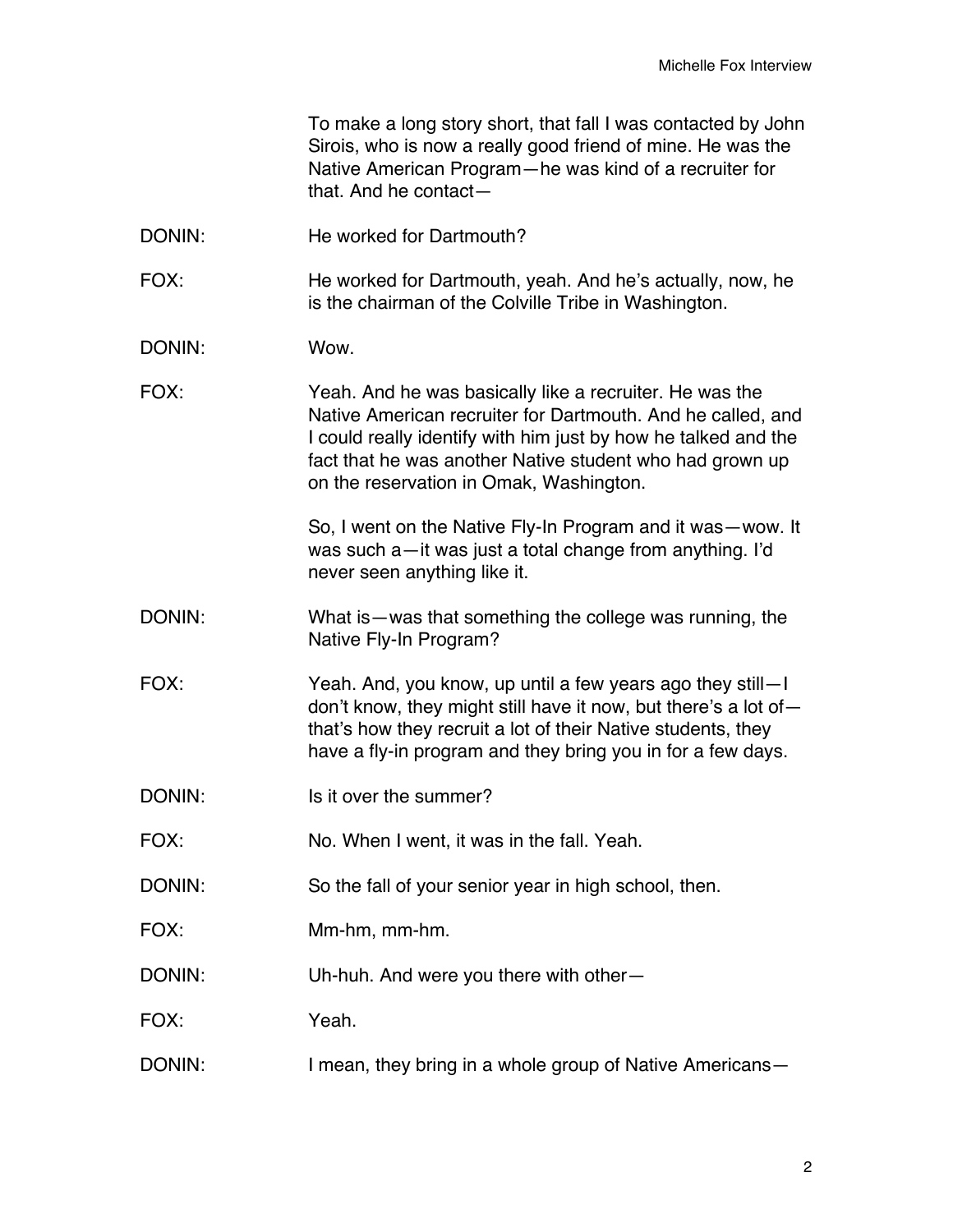|        | To make a long story short, that fall I was contacted by John<br>Sirois, who is now a really good friend of mine. He was the<br>Native American Program-he was kind of a recruiter for<br>that. And he contact-                                                                                 |
|--------|-------------------------------------------------------------------------------------------------------------------------------------------------------------------------------------------------------------------------------------------------------------------------------------------------|
| DONIN: | He worked for Dartmouth?                                                                                                                                                                                                                                                                        |
| FOX:   | He worked for Dartmouth, yeah. And he's actually, now, he<br>is the chairman of the Colville Tribe in Washington.                                                                                                                                                                               |
| DONIN: | Wow.                                                                                                                                                                                                                                                                                            |
| FOX:   | Yeah. And he was basically like a recruiter. He was the<br>Native American recruiter for Dartmouth. And he called, and<br>I could really identify with him just by how he talked and the<br>fact that he was another Native student who had grown up<br>on the reservation in Omak, Washington. |
|        | So, I went on the Native Fly-In Program and it was-wow. It<br>was such a-it was just a total change from anything. I'd<br>never seen anything like it.                                                                                                                                          |
| DONIN: | What is—was that something the college was running, the<br>Native Fly-In Program?                                                                                                                                                                                                               |
| FOX:   | Yeah. And, you know, up until a few years ago they still—I<br>don't know, they might still have it now, but there's a lot of $-$<br>that's how they recruit a lot of their Native students, they<br>have a fly-in program and they bring you in for a few days.                                 |
| DONIN: | Is it over the summer?                                                                                                                                                                                                                                                                          |
| FOX:   | No. When I went, it was in the fall. Yeah.                                                                                                                                                                                                                                                      |
| DONIN: | So the fall of your senior year in high school, then.                                                                                                                                                                                                                                           |
| FOX:   | Mm-hm, mm-hm.                                                                                                                                                                                                                                                                                   |
| DONIN: | Uh-huh. And were you there with other-                                                                                                                                                                                                                                                          |
| FOX:   | Yeah.                                                                                                                                                                                                                                                                                           |
| DONIN: | I mean, they bring in a whole group of Native Americans-                                                                                                                                                                                                                                        |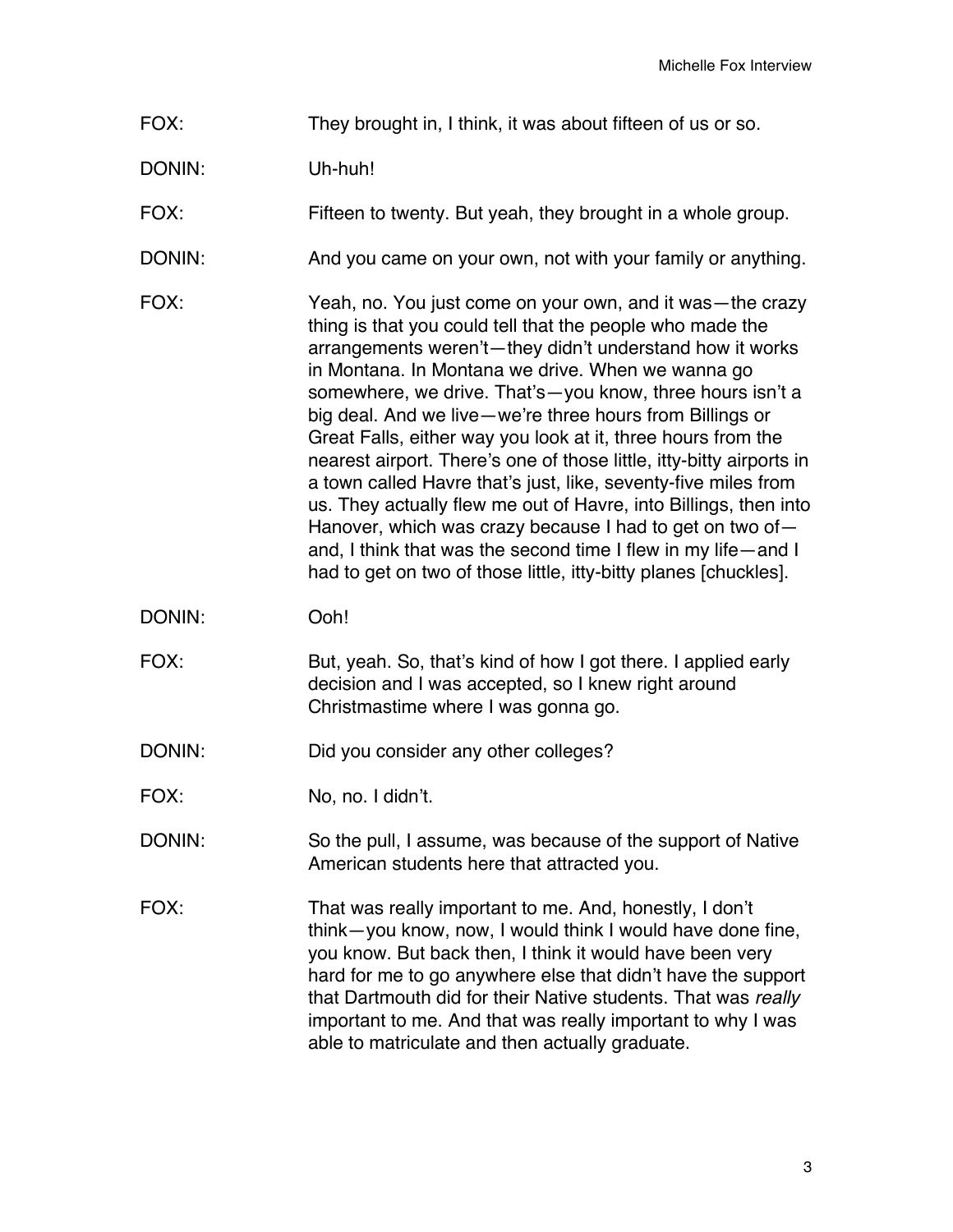- FOX: They brought in, I think, it was about fifteen of us or so.
- DONIN: Uh-huh!

FOX: Fifteen to twenty. But yeah, they brought in a whole group.

- DONIN: And you came on your own, not with your family or anything.
- FOX: Yeah, no. You just come on your own, and it was—the crazy thing is that you could tell that the people who made the arrangements weren't—they didn't understand how it works in Montana. In Montana we drive. When we wanna go somewhere, we drive. That's—you know, three hours isn't a big deal. And we live—we're three hours from Billings or Great Falls, either way you look at it, three hours from the nearest airport. There's one of those little, itty-bitty airports in a town called Havre that's just, like, seventy-five miles from us. They actually flew me out of Havre, into Billings, then into Hanover, which was crazy because I had to get on two of and, I think that was the second time I flew in my life—and I had to get on two of those little, itty-bitty planes [chuckles].
- DONIN: Ooh!
- FOX: But, yeah. So, that's kind of how I got there. I applied early decision and I was accepted, so I knew right around Christmastime where I was gonna go.
- DONIN: Did you consider any other colleges?
- FOX: No, no. I didn't.
- DONIN: So the pull, I assume, was because of the support of Native American students here that attracted you.
- FOX: That was really important to me. And, honestly, I don't think—you know, now, I would think I would have done fine, you know. But back then, I think it would have been very hard for me to go anywhere else that didn't have the support that Dartmouth did for their Native students. That was *really* important to me. And that was really important to why I was able to matriculate and then actually graduate.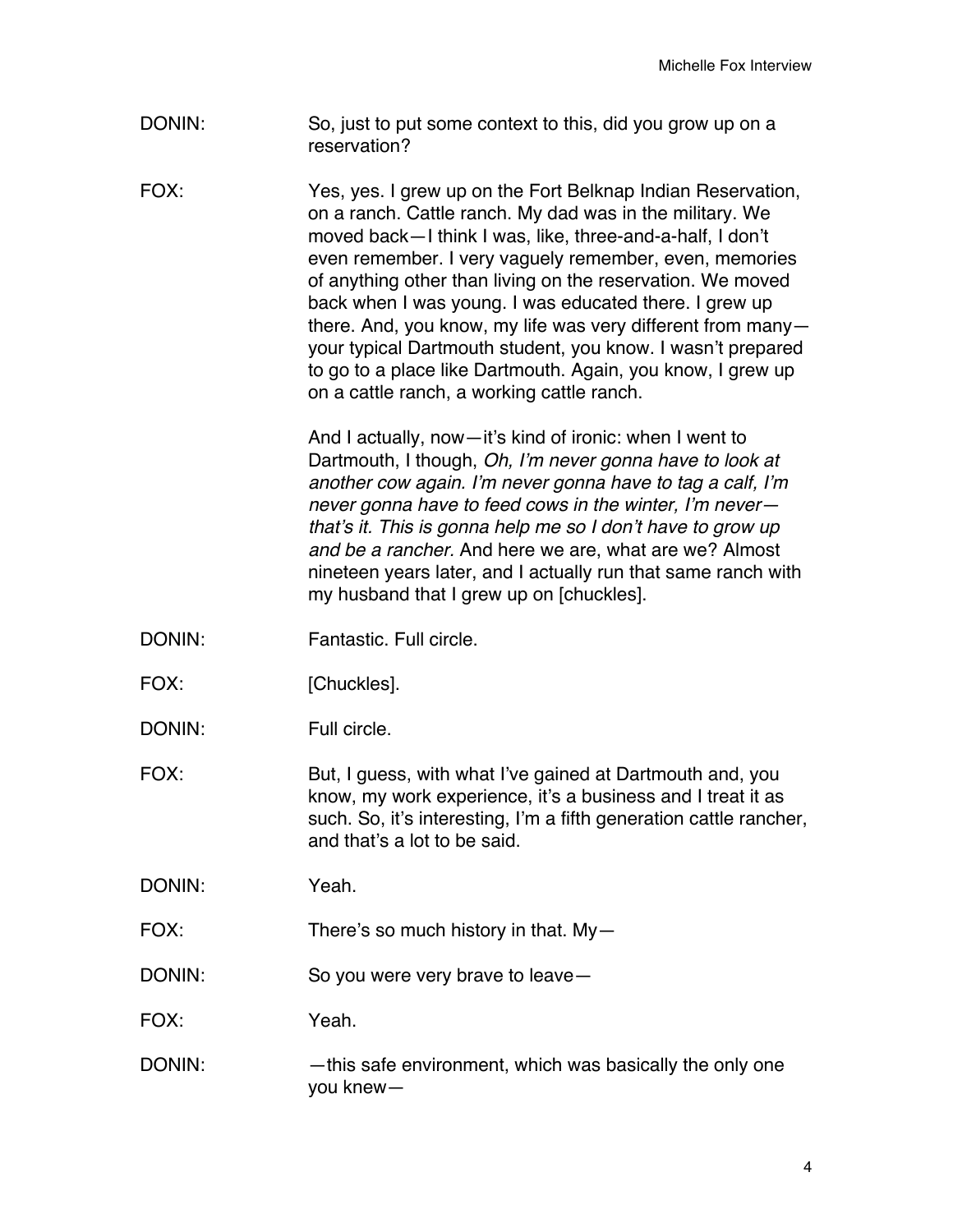- DONIN: So, just to put some context to this, did you grow up on a reservation?
- FOX: Yes, yes. I grew up on the Fort Belknap Indian Reservation, on a ranch. Cattle ranch. My dad was in the military. We moved back—I think I was, like, three-and-a-half, I don't even remember. I very vaguely remember, even, memories of anything other than living on the reservation. We moved back when I was young. I was educated there. I grew up there. And, you know, my life was very different from many your typical Dartmouth student, you know. I wasn't prepared to go to a place like Dartmouth. Again, you know, I grew up on a cattle ranch, a working cattle ranch.

And I actually, now—it's kind of ironic: when I went to Dartmouth, I though, *Oh, I'm never gonna have to look at another cow again. I'm never gonna have to tag a calf, I'm never gonna have to feed cows in the winter, I'm never that's it. This is gonna help me so I don't have to grow up and be a rancher.* And here we are, what are we? Almost nineteen years later, and I actually run that same ranch with my husband that I grew up on [chuckles].

- DONIN: Fantastic. Full circle.
- FOX: [Chuckles].
- DONIN: Full circle.

FOX: But, I guess, with what I've gained at Dartmouth and, you know, my work experience, it's a business and I treat it as such. So, it's interesting, I'm a fifth generation cattle rancher, and that's a lot to be said.

DONIN: Yeah.

FOX: There's so much history in that. My—

DONIN: So you were very brave to leave—

FOX: Yeah.

DONIN: — —this safe environment, which was basically the only one you knew—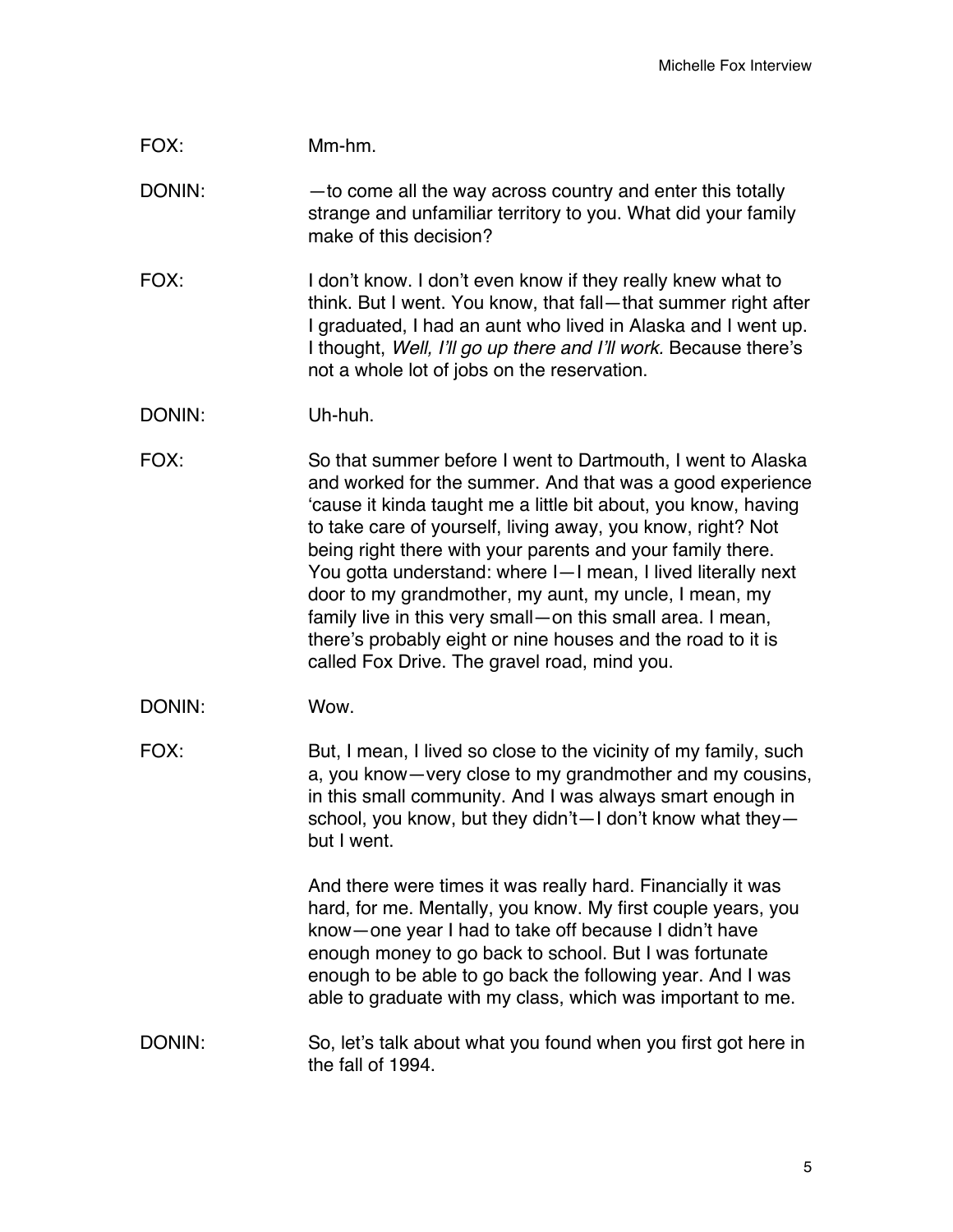| FOX:   | Mm-hm.                                                                                                                                                                                                                                                                                                                                                                                                                                                                                                                                                                                                                        |
|--------|-------------------------------------------------------------------------------------------------------------------------------------------------------------------------------------------------------------------------------------------------------------------------------------------------------------------------------------------------------------------------------------------------------------------------------------------------------------------------------------------------------------------------------------------------------------------------------------------------------------------------------|
| DONIN: | - to come all the way across country and enter this totally<br>strange and unfamiliar territory to you. What did your family<br>make of this decision?                                                                                                                                                                                                                                                                                                                                                                                                                                                                        |
| FOX:   | I don't know. I don't even know if they really knew what to<br>think. But I went. You know, that fall—that summer right after<br>I graduated, I had an aunt who lived in Alaska and I went up.<br>I thought, Well, I'll go up there and I'll work. Because there's<br>not a whole lot of jobs on the reservation.                                                                                                                                                                                                                                                                                                             |
| DONIN: | Uh-huh.                                                                                                                                                                                                                                                                                                                                                                                                                                                                                                                                                                                                                       |
| FOX:   | So that summer before I went to Dartmouth, I went to Alaska<br>and worked for the summer. And that was a good experience<br>'cause it kinda taught me a little bit about, you know, having<br>to take care of yourself, living away, you know, right? Not<br>being right there with your parents and your family there.<br>You gotta understand: where I-I mean, I lived literally next<br>door to my grandmother, my aunt, my uncle, I mean, my<br>family live in this very small-on this small area. I mean,<br>there's probably eight or nine houses and the road to it is<br>called Fox Drive. The gravel road, mind you. |
| DONIN: | Wow.                                                                                                                                                                                                                                                                                                                                                                                                                                                                                                                                                                                                                          |
| FOX:   | But, I mean, I lived so close to the vicinity of my family, such<br>a, you know — very close to my grandmother and my cousins,<br>in this small community. And I was always smart enough in<br>school, you know, but they didn't-I don't know what they-<br>but I went.                                                                                                                                                                                                                                                                                                                                                       |
|        | And there were times it was really hard. Financially it was<br>hard, for me. Mentally, you know. My first couple years, you<br>know-one year I had to take off because I didn't have<br>enough money to go back to school. But I was fortunate<br>enough to be able to go back the following year. And I was<br>able to graduate with my class, which was important to me.                                                                                                                                                                                                                                                    |
| DONIN: | So, let's talk about what you found when you first got here in<br>the fall of 1994.                                                                                                                                                                                                                                                                                                                                                                                                                                                                                                                                           |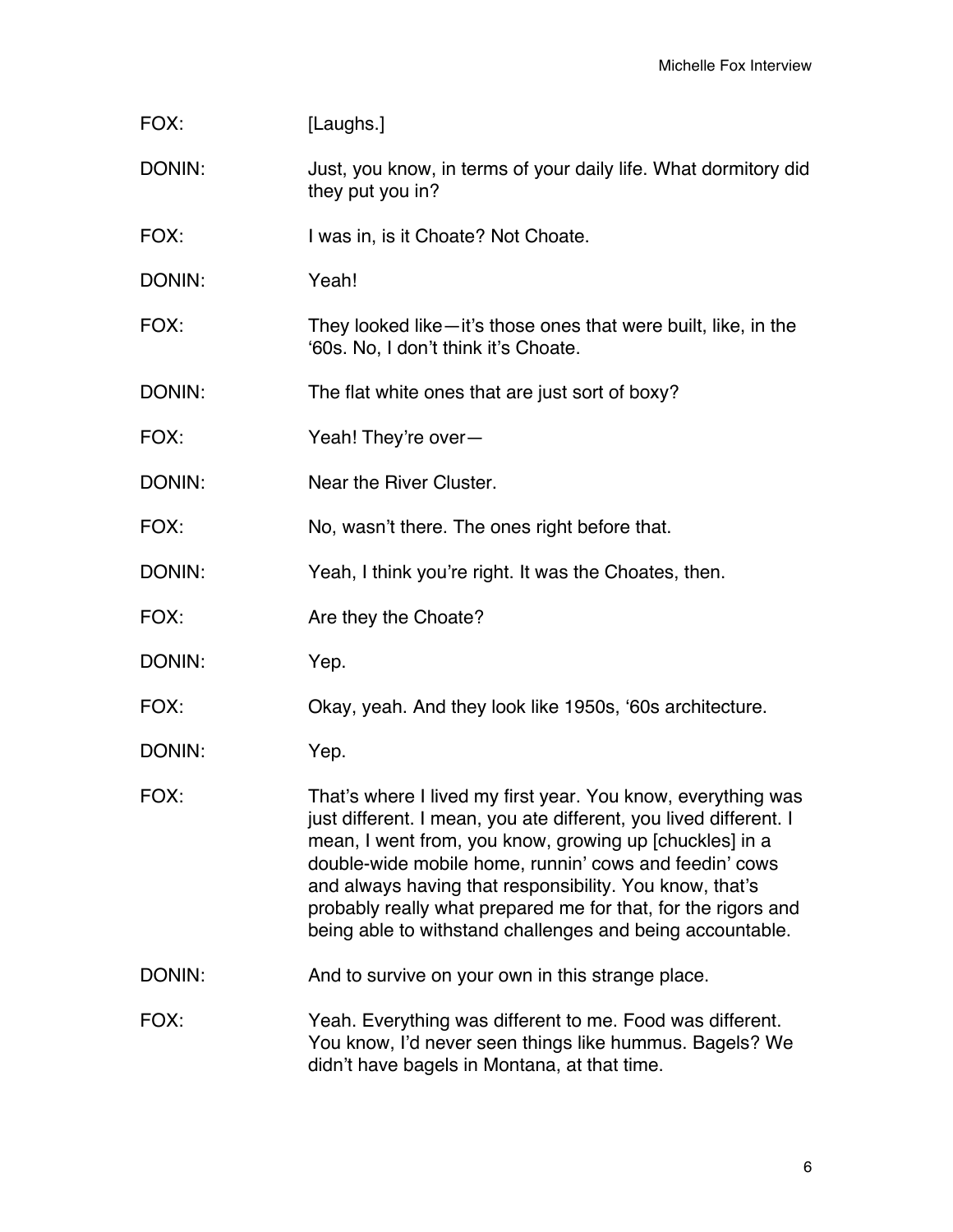| FOX:   | [Laughs.]                                                                                                                                                                                                                                                                                                                                                                                                                                       |
|--------|-------------------------------------------------------------------------------------------------------------------------------------------------------------------------------------------------------------------------------------------------------------------------------------------------------------------------------------------------------------------------------------------------------------------------------------------------|
| DONIN: | Just, you know, in terms of your daily life. What dormitory did<br>they put you in?                                                                                                                                                                                                                                                                                                                                                             |
| FOX:   | I was in, is it Choate? Not Choate.                                                                                                                                                                                                                                                                                                                                                                                                             |
| DONIN: | Yeah!                                                                                                                                                                                                                                                                                                                                                                                                                                           |
| FOX:   | They looked like—it's those ones that were built, like, in the<br>'60s. No, I don't think it's Choate.                                                                                                                                                                                                                                                                                                                                          |
| DONIN: | The flat white ones that are just sort of boxy?                                                                                                                                                                                                                                                                                                                                                                                                 |
| FOX:   | Yeah! They're over-                                                                                                                                                                                                                                                                                                                                                                                                                             |
| DONIN: | Near the River Cluster.                                                                                                                                                                                                                                                                                                                                                                                                                         |
| FOX:   | No, wasn't there. The ones right before that.                                                                                                                                                                                                                                                                                                                                                                                                   |
| DONIN: | Yeah, I think you're right. It was the Choates, then.                                                                                                                                                                                                                                                                                                                                                                                           |
| FOX:   | Are they the Choate?                                                                                                                                                                                                                                                                                                                                                                                                                            |
| DONIN: | Yep.                                                                                                                                                                                                                                                                                                                                                                                                                                            |
| FOX:   | Okay, yeah. And they look like 1950s, '60s architecture.                                                                                                                                                                                                                                                                                                                                                                                        |
| DONIN: | Yep.                                                                                                                                                                                                                                                                                                                                                                                                                                            |
| FOX:   | That's where I lived my first year. You know, everything was<br>just different. I mean, you ate different, you lived different. I<br>mean, I went from, you know, growing up [chuckles] in a<br>double-wide mobile home, runnin' cows and feedin' cows<br>and always having that responsibility. You know, that's<br>probably really what prepared me for that, for the rigors and<br>being able to withstand challenges and being accountable. |
| DONIN: | And to survive on your own in this strange place.                                                                                                                                                                                                                                                                                                                                                                                               |
| FOX:   | Yeah. Everything was different to me. Food was different.<br>You know, I'd never seen things like hummus. Bagels? We<br>didn't have bagels in Montana, at that time.                                                                                                                                                                                                                                                                            |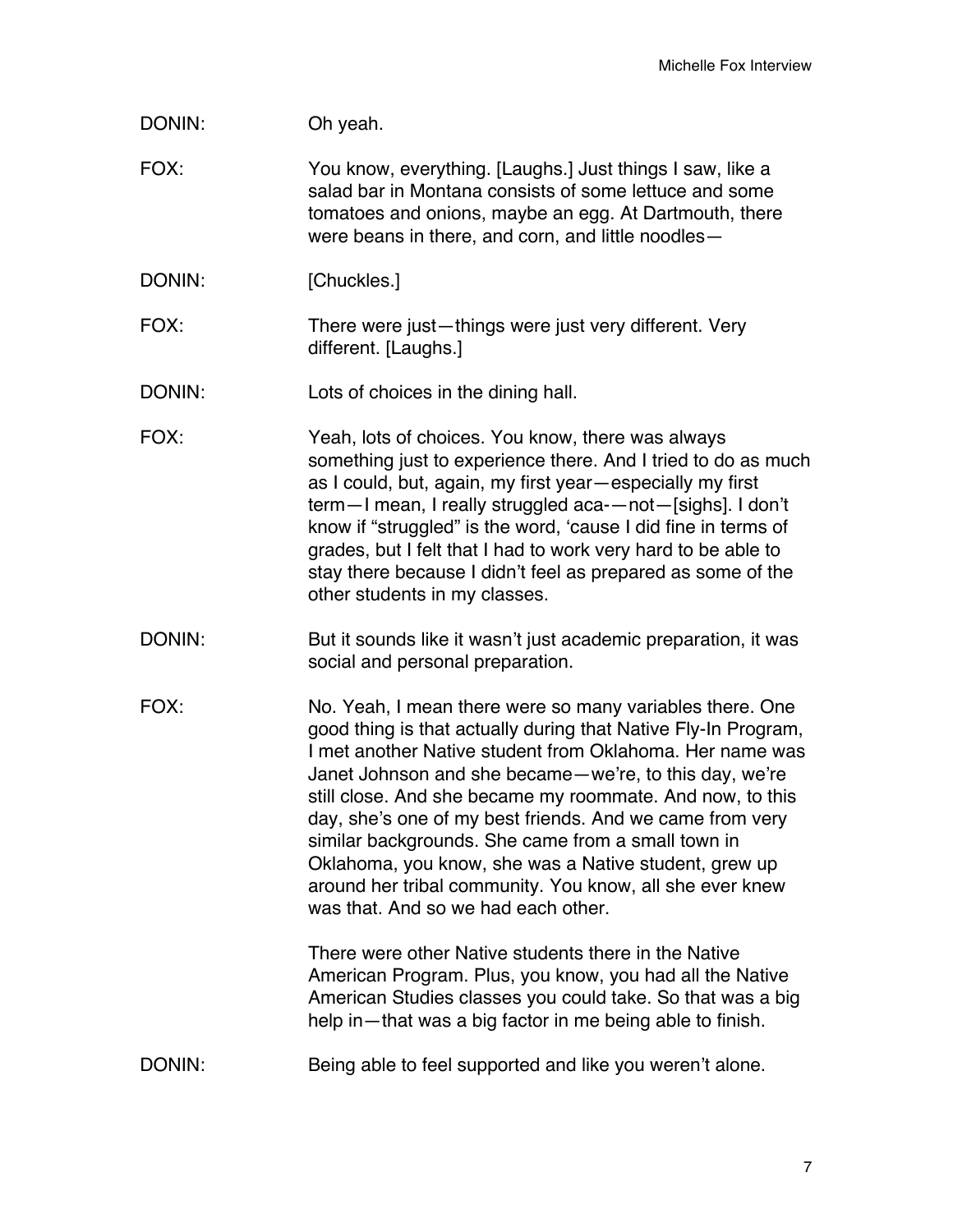- FOX: You know, everything. [Laughs.] Just things I saw, like a salad bar in Montana consists of some lettuce and some tomatoes and onions, maybe an egg. At Dartmouth, there were beans in there, and corn, and little noodles—
- DONIN: [Chuckles.]
- FOX: There were just—things were just very different. Very different. [Laughs.]
- DONIN: Lots of choices in the dining hall.
- FOX: Yeah, lots of choices. You know, there was always something just to experience there. And I tried to do as much as I could, but, again, my first year—especially my first term—I mean, I really struggled aca-—not—[sighs]. I don't know if "struggled" is the word, 'cause I did fine in terms of grades, but I felt that I had to work very hard to be able to stay there because I didn't feel as prepared as some of the other students in my classes.
- DONIN: But it sounds like it wasn't just academic preparation, it was social and personal preparation.
- FOX: No. Yeah, I mean there were so many variables there. One good thing is that actually during that Native Fly-In Program, I met another Native student from Oklahoma. Her name was Janet Johnson and she became—we're, to this day, we're still close. And she became my roommate. And now, to this day, she's one of my best friends. And we came from very similar backgrounds. She came from a small town in Oklahoma, you know, she was a Native student, grew up around her tribal community. You know, all she ever knew was that. And so we had each other.

There were other Native students there in the Native American Program. Plus, you know, you had all the Native American Studies classes you could take. So that was a big help in—that was a big factor in me being able to finish.

DONIN: Being able to feel supported and like you weren't alone.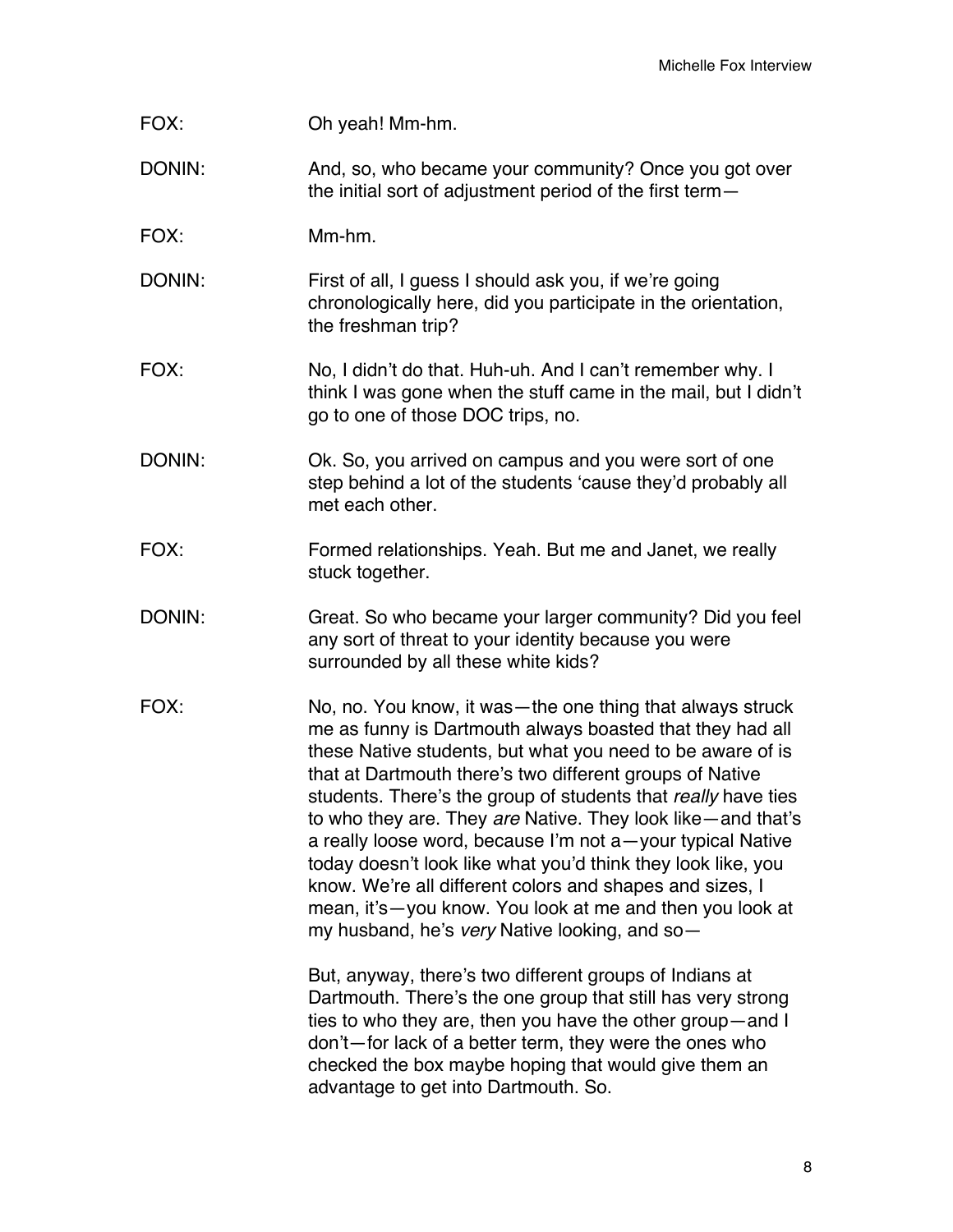| FOX:   | Oh yeah! Mm-hm.                                                                                                                                                                                                                                                                                                                                                                                                                                                                                                                                                                                                                                                                                                                                                                                                     |
|--------|---------------------------------------------------------------------------------------------------------------------------------------------------------------------------------------------------------------------------------------------------------------------------------------------------------------------------------------------------------------------------------------------------------------------------------------------------------------------------------------------------------------------------------------------------------------------------------------------------------------------------------------------------------------------------------------------------------------------------------------------------------------------------------------------------------------------|
| DONIN: | And, so, who became your community? Once you got over<br>the initial sort of adjustment period of the first term-                                                                                                                                                                                                                                                                                                                                                                                                                                                                                                                                                                                                                                                                                                   |
| FOX:   | Mm-hm.                                                                                                                                                                                                                                                                                                                                                                                                                                                                                                                                                                                                                                                                                                                                                                                                              |
| DONIN: | First of all, I guess I should ask you, if we're going<br>chronologically here, did you participate in the orientation,<br>the freshman trip?                                                                                                                                                                                                                                                                                                                                                                                                                                                                                                                                                                                                                                                                       |
| FOX:   | No, I didn't do that. Huh-uh. And I can't remember why. I<br>think I was gone when the stuff came in the mail, but I didn't<br>go to one of those DOC trips, no.                                                                                                                                                                                                                                                                                                                                                                                                                                                                                                                                                                                                                                                    |
| DONIN: | Ok. So, you arrived on campus and you were sort of one<br>step behind a lot of the students 'cause they'd probably all<br>met each other.                                                                                                                                                                                                                                                                                                                                                                                                                                                                                                                                                                                                                                                                           |
| FOX:   | Formed relationships. Yeah. But me and Janet, we really<br>stuck together.                                                                                                                                                                                                                                                                                                                                                                                                                                                                                                                                                                                                                                                                                                                                          |
| DONIN: | Great. So who became your larger community? Did you feel<br>any sort of threat to your identity because you were<br>surrounded by all these white kids?                                                                                                                                                                                                                                                                                                                                                                                                                                                                                                                                                                                                                                                             |
| FOX:   | No, no. You know, it was—the one thing that always struck<br>me as funny is Dartmouth always boasted that they had all<br>these Native students, but what you need to be aware of is<br>that at Dartmouth there's two different groups of Native<br>students. There's the group of students that really have ties<br>to who they are. They are Native. They look like — and that's<br>a really loose word, because I'm not a-your typical Native<br>today doesn't look like what you'd think they look like, you<br>know. We're all different colors and shapes and sizes, I<br>mean, it's-you know. You look at me and then you look at<br>my husband, he's very Native looking, and so-<br>But, anyway, there's two different groups of Indians at<br>Dartmouth. There's the one group that still has very strong |
|        | ties to who they are, then you have the other group-and I<br>don't—for lack of a better term, they were the ones who<br>checked the box maybe hoping that would give them an<br>advantage to get into Dartmouth. So.                                                                                                                                                                                                                                                                                                                                                                                                                                                                                                                                                                                                |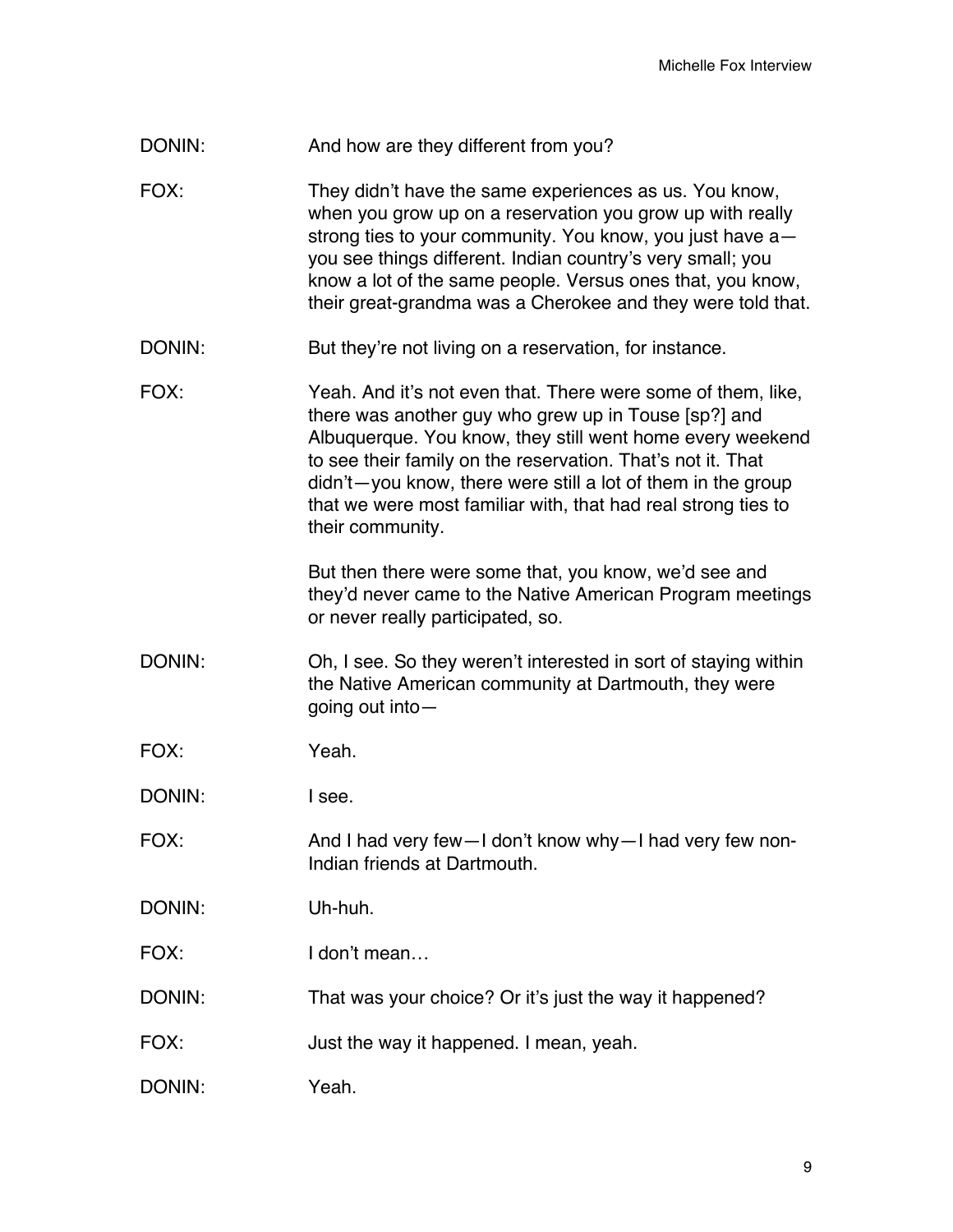DONIN: And how are they different from you?

FOX: They didn't have the same experiences as us. You know, when you grow up on a reservation you grow up with really strong ties to your community. You know, you just have a you see things different. Indian country's very small; you know a lot of the same people. Versus ones that, you know, their great-grandma was a Cherokee and they were told that.

DONIN: But they're not living on a reservation, for instance.

FOX: Yeah. And it's not even that. There were some of them, like, there was another guy who grew up in Touse [sp?] and Albuquerque. You know, they still went home every weekend to see their family on the reservation. That's not it. That didn't—you know, there were still a lot of them in the group that we were most familiar with, that had real strong ties to their community.

> But then there were some that, you know, we'd see and they'd never came to the Native American Program meetings or never really participated, so.

- DONIN: Oh, I see. So they weren't interested in sort of staying within the Native American community at Dartmouth, they were going out into—
- FOX: Yeah.

DONIN: I see.

- FOX: And I had very few—I don't know why—I had very few non-Indian friends at Dartmouth.
- DONIN: Uh-huh.
- FOX: I don't mean…
- DONIN: That was your choice? Or it's just the way it happened?
- FOX: Just the way it happened. I mean, yeah.
- DONIN: Yeah.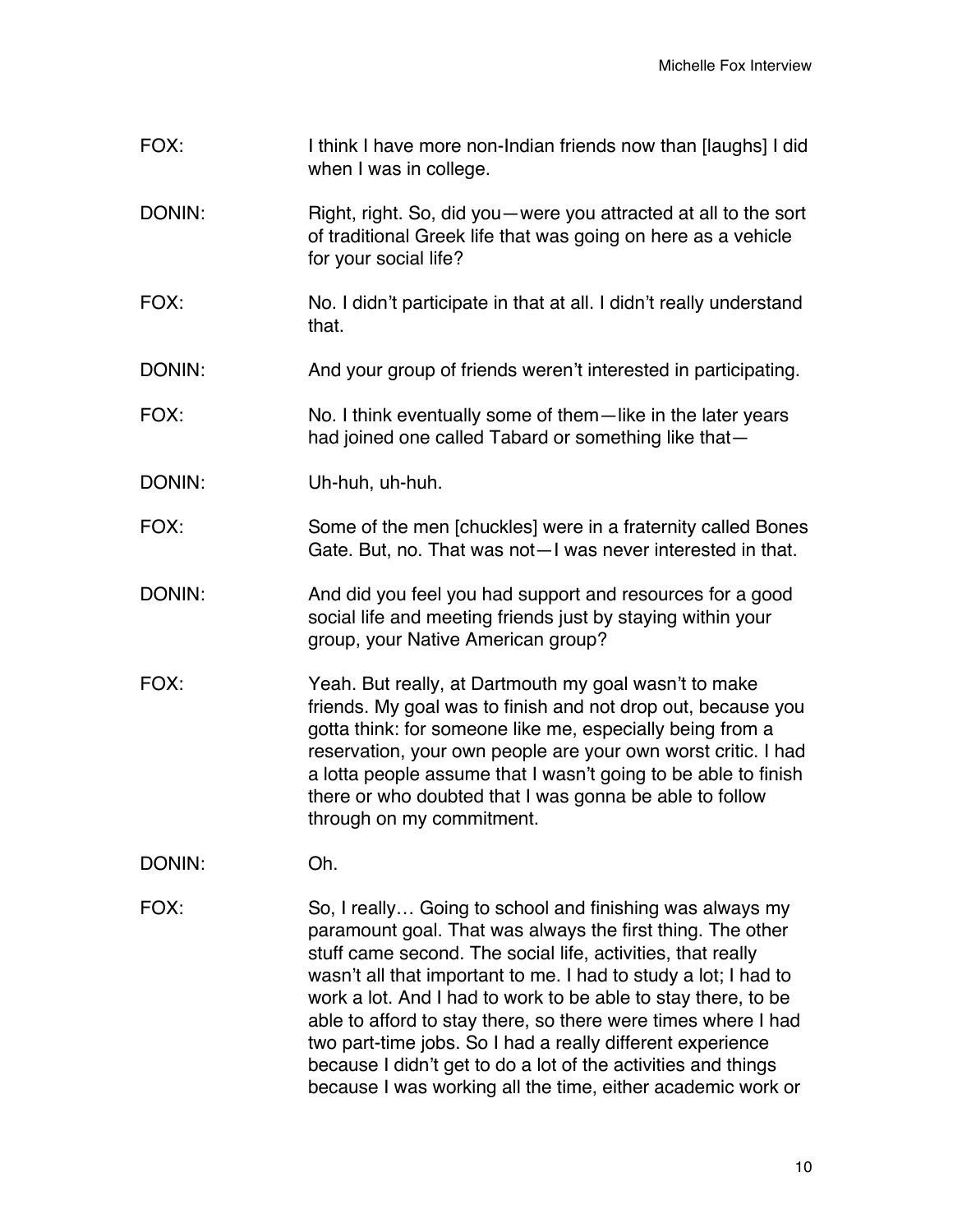FOX: I think I have more non-Indian friends now than [laughs] I did when I was in college. DONIN: Right, right. So, did you—were you attracted at all to the sort of traditional Greek life that was going on here as a vehicle for your social life? FOX: No. I didn't participate in that at all. I didn't really understand that. DONIN: And your group of friends weren't interested in participating. FOX: No. I think eventually some of them—like in the later years had joined one called Tabard or something like that— DONIN: Uh-huh, uh-huh. FOX: Some of the men [chuckles] were in a fraternity called Bones Gate. But, no. That was not—I was never interested in that. DONIN: And did you feel you had support and resources for a good social life and meeting friends just by staying within your group, your Native American group? FOX: Yeah. But really, at Dartmouth my goal wasn't to make friends. My goal was to finish and not drop out, because you gotta think: for someone like me, especially being from a reservation, your own people are your own worst critic. I had a lotta people assume that I wasn't going to be able to finish there or who doubted that I was gonna be able to follow through on my commitment. DONIN: Oh. FOX: So, I really… Going to school and finishing was always my paramount goal. That was always the first thing. The other stuff came second. The social life, activities, that really wasn't all that important to me. I had to study a lot; I had to work a lot. And I had to work to be able to stay there, to be able to afford to stay there, so there were times where I had

two part-time jobs. So I had a really different experience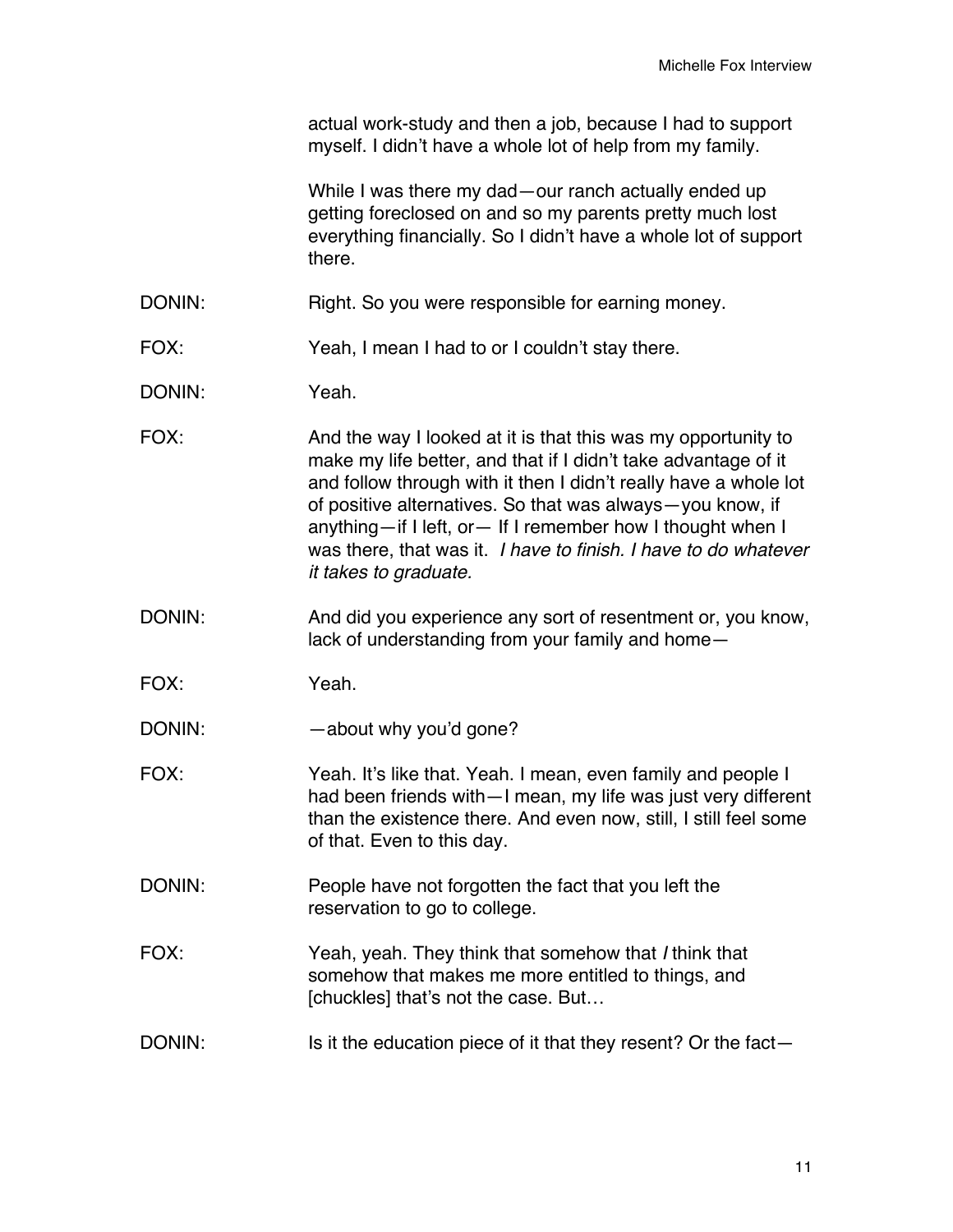actual work-study and then a job, because I had to support myself. I didn't have a whole lot of help from my family.

While I was there my dad—our ranch actually ended up getting foreclosed on and so my parents pretty much lost everything financially. So I didn't have a whole lot of support there.

- DONIN: Right. So you were responsible for earning money.
- FOX: Yeah, I mean I had to or I couldn't stay there.
- DONIN: Yeah.
- FOX: And the way I looked at it is that this was my opportunity to make my life better, and that if I didn't take advantage of it and follow through with it then I didn't really have a whole lot of positive alternatives. So that was always—you know, if anything—if I left, or— If I remember how I thought when I was there, that was it. *I have to finish. I have to do whatever it takes to graduate.*
- DONIN: And did you experience any sort of resentment or, you know, lack of understanding from your family and home—
- FOX: Yeah.
- DONIN: about why you'd gone?
- FOX: Yeah. It's like that. Yeah. I mean, even family and people I had been friends with—I mean, my life was just very different than the existence there. And even now, still, I still feel some of that. Even to this day.
- DONIN: People have not forgotten the fact that you left the reservation to go to college.
- FOX: Yeah, yeah. They think that somehow that *I* think that somehow that makes me more entitled to things, and [chuckles] that's not the case. But…
- DONIN: Is it the education piece of it that they resent? Or the fact-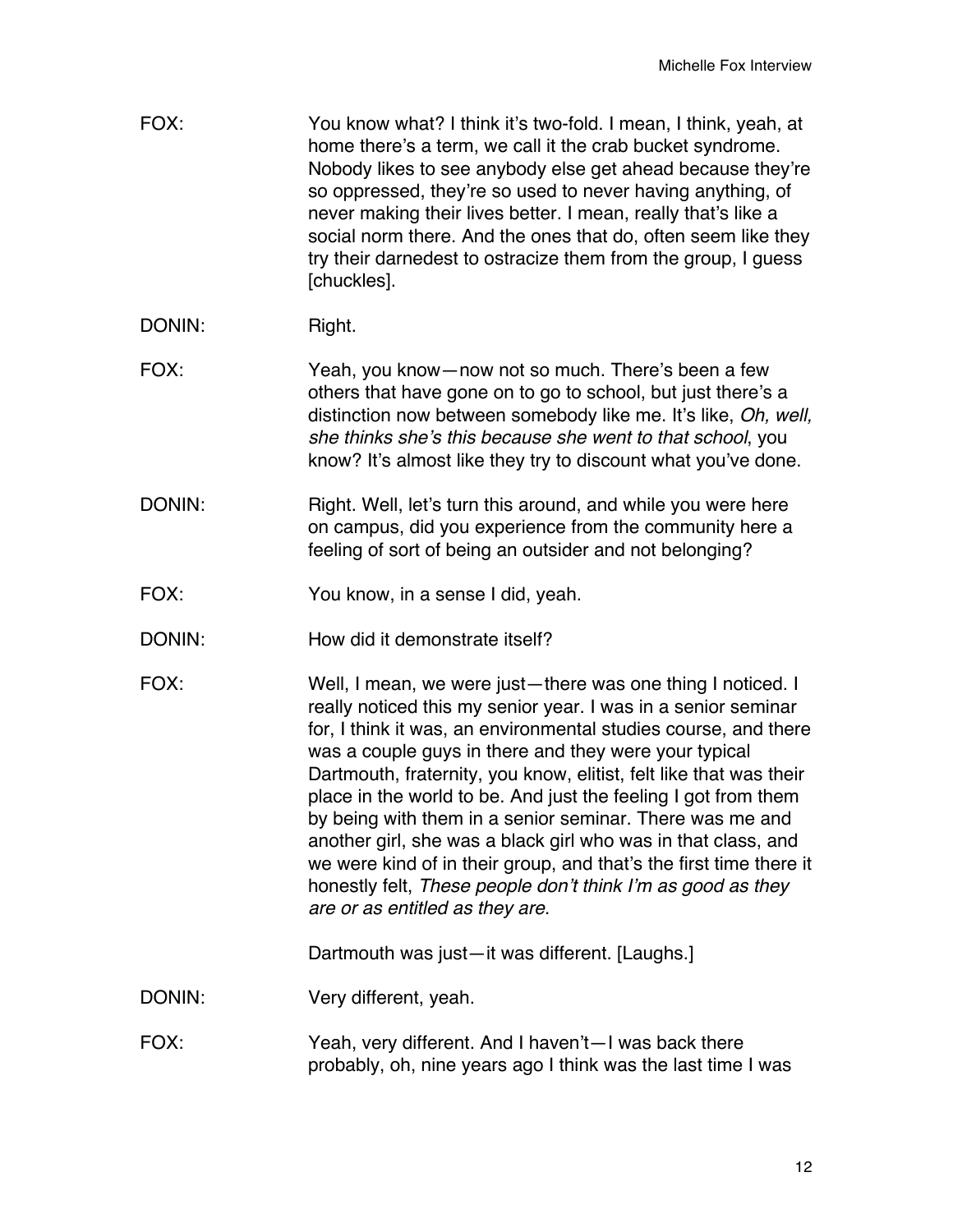| FOX:   | You know what? I think it's two-fold. I mean, I think, yeah, at<br>home there's a term, we call it the crab bucket syndrome.<br>Nobody likes to see anybody else get ahead because they're<br>so oppressed, they're so used to never having anything, of<br>never making their lives better. I mean, really that's like a<br>social norm there. And the ones that do, often seem like they<br>try their darnedest to ostracize them from the group, I guess<br>[chuckles].                                                                                                                                                                                                                            |
|--------|-------------------------------------------------------------------------------------------------------------------------------------------------------------------------------------------------------------------------------------------------------------------------------------------------------------------------------------------------------------------------------------------------------------------------------------------------------------------------------------------------------------------------------------------------------------------------------------------------------------------------------------------------------------------------------------------------------|
| DONIN: | Right.                                                                                                                                                                                                                                                                                                                                                                                                                                                                                                                                                                                                                                                                                                |
| FOX:   | Yeah, you know - now not so much. There's been a few<br>others that have gone on to go to school, but just there's a<br>distinction now between somebody like me. It's like, Oh, well,<br>she thinks she's this because she went to that school, you<br>know? It's almost like they try to discount what you've done.                                                                                                                                                                                                                                                                                                                                                                                 |
| DONIN: | Right. Well, let's turn this around, and while you were here<br>on campus, did you experience from the community here a<br>feeling of sort of being an outsider and not belonging?                                                                                                                                                                                                                                                                                                                                                                                                                                                                                                                    |
| FOX:   | You know, in a sense I did, yeah.                                                                                                                                                                                                                                                                                                                                                                                                                                                                                                                                                                                                                                                                     |
| DONIN: | How did it demonstrate itself?                                                                                                                                                                                                                                                                                                                                                                                                                                                                                                                                                                                                                                                                        |
| FOX:   | Well, I mean, we were just-there was one thing I noticed. I<br>really noticed this my senior year. I was in a senior seminar<br>for, I think it was, an environmental studies course, and there<br>was a couple guys in there and they were your typical<br>Dartmouth, fraternity, you know, elitist, felt like that was their<br>place in the world to be. And just the feeling I got from them<br>by being with them in a senior seminar. There was me and<br>another girl, she was a black girl who was in that class, and<br>we were kind of in their group, and that's the first time there it<br>honestly felt, These people don't think I'm as good as they<br>are or as entitled as they are. |
|        | Dartmouth was just-it was different. [Laughs.]                                                                                                                                                                                                                                                                                                                                                                                                                                                                                                                                                                                                                                                        |
| DONIN: | Very different, yeah.                                                                                                                                                                                                                                                                                                                                                                                                                                                                                                                                                                                                                                                                                 |
| FOX:   | Yeah, very different. And I haven't—I was back there<br>probably, oh, nine years ago I think was the last time I was                                                                                                                                                                                                                                                                                                                                                                                                                                                                                                                                                                                  |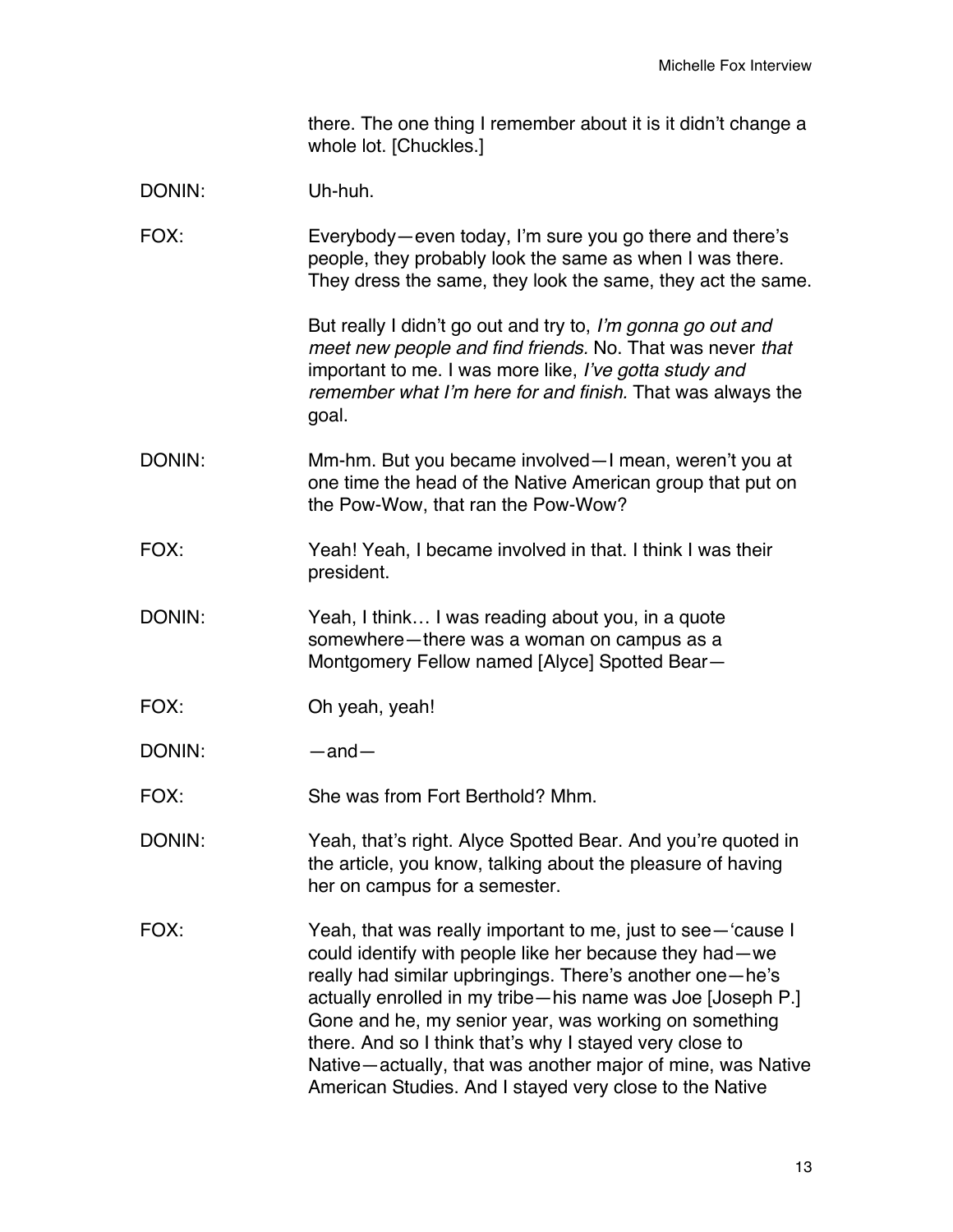there. The one thing I remember about it is it didn't change a whole lot. [Chuckles.]

- DONIN: Uh-huh.
- FOX: Everybody—even today, I'm sure you go there and there's people, they probably look the same as when I was there. They dress the same, they look the same, they act the same.

But really I didn't go out and try to, *I'm gonna go out and meet new people and find friends.* No. That was never *that*  important to me. I was more like, *I've gotta study and remember what I'm here for and finish.* That was always the goal.

- DONIN: Mm-hm. But you became involved—I mean, weren't you at one time the head of the Native American group that put on the Pow-Wow, that ran the Pow-Wow?
- FOX: Yeah! Yeah, I became involved in that. I think I was their president.
- DONIN: Yeah, I think... I was reading about you, in a quote somewhere—there was a woman on campus as a Montgomery Fellow named [Alyce] Spotted Bear—
- FOX: Oh yeah, yeah!
- DONIN: —and—
- FOX: She was from Fort Berthold? Mhm.
- DONIN: Yeah, that's right. Alyce Spotted Bear. And you're quoted in the article, you know, talking about the pleasure of having her on campus for a semester.
- FOX: Yeah, that was really important to me, just to see—'cause I could identify with people like her because they had—we really had similar upbringings. There's another one—he's actually enrolled in my tribe—his name was Joe [Joseph P.] Gone and he, my senior year, was working on something there. And so I think that's why I stayed very close to Native—actually, that was another major of mine, was Native American Studies. And I stayed very close to the Native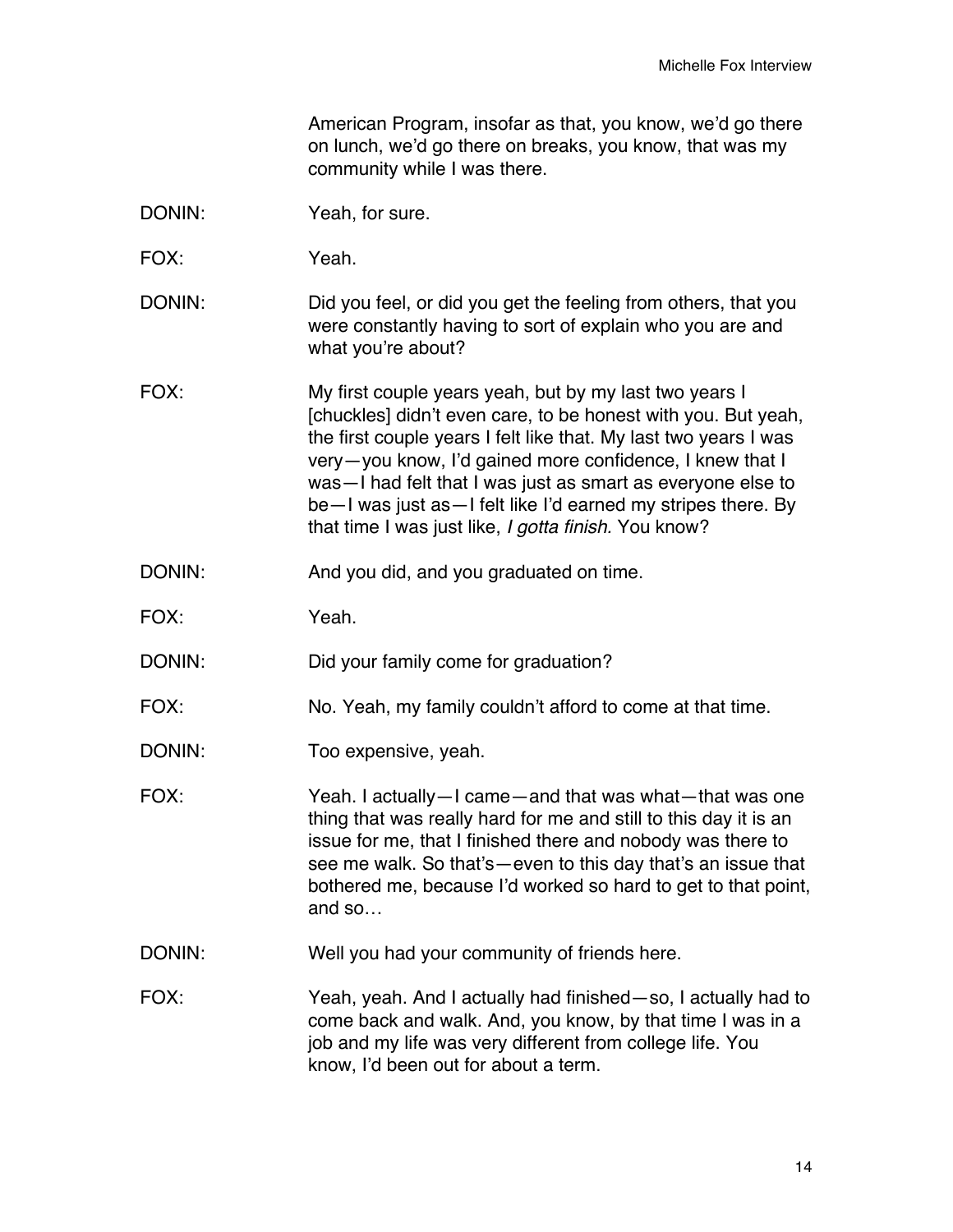American Program, insofar as that, you know, we'd go there on lunch, we'd go there on breaks, you know, that was my community while I was there.

- DONIN: Yeah, for sure.
- FOX: Yeah.
- DONIN: DONIN: Did you feel, or did you get the feeling from others, that you were constantly having to sort of explain who you are and what you're about?
- FOX: My first couple years yeah, but by my last two years I [chuckles] didn't even care, to be honest with you. But yeah, the first couple years I felt like that. My last two years I was very—you know, I'd gained more confidence, I knew that I was—I had felt that I was just as smart as everyone else to be—I was just as—I felt like I'd earned my stripes there. By that time I was just like, *I gotta finish.* You know?
- DONIN: And you did, and you graduated on time.
- FOX: Yeah.
- DONIN: Did your family come for graduation?
- FOX: No. Yeah, my family couldn't afford to come at that time.
- DONIN: Too expensive, yeah.
- FOX: Yeah. I actually—I came—and that was what—that was one thing that was really hard for me and still to this day it is an issue for me, that I finished there and nobody was there to see me walk. So that's—even to this day that's an issue that bothered me, because I'd worked so hard to get to that point, and so…
- DONIN: Well you had your community of friends here.
- FOX: Yeah, yeah. And I actually had finished—so, I actually had to come back and walk. And, you know, by that time I was in a job and my life was very different from college life. You know, I'd been out for about a term.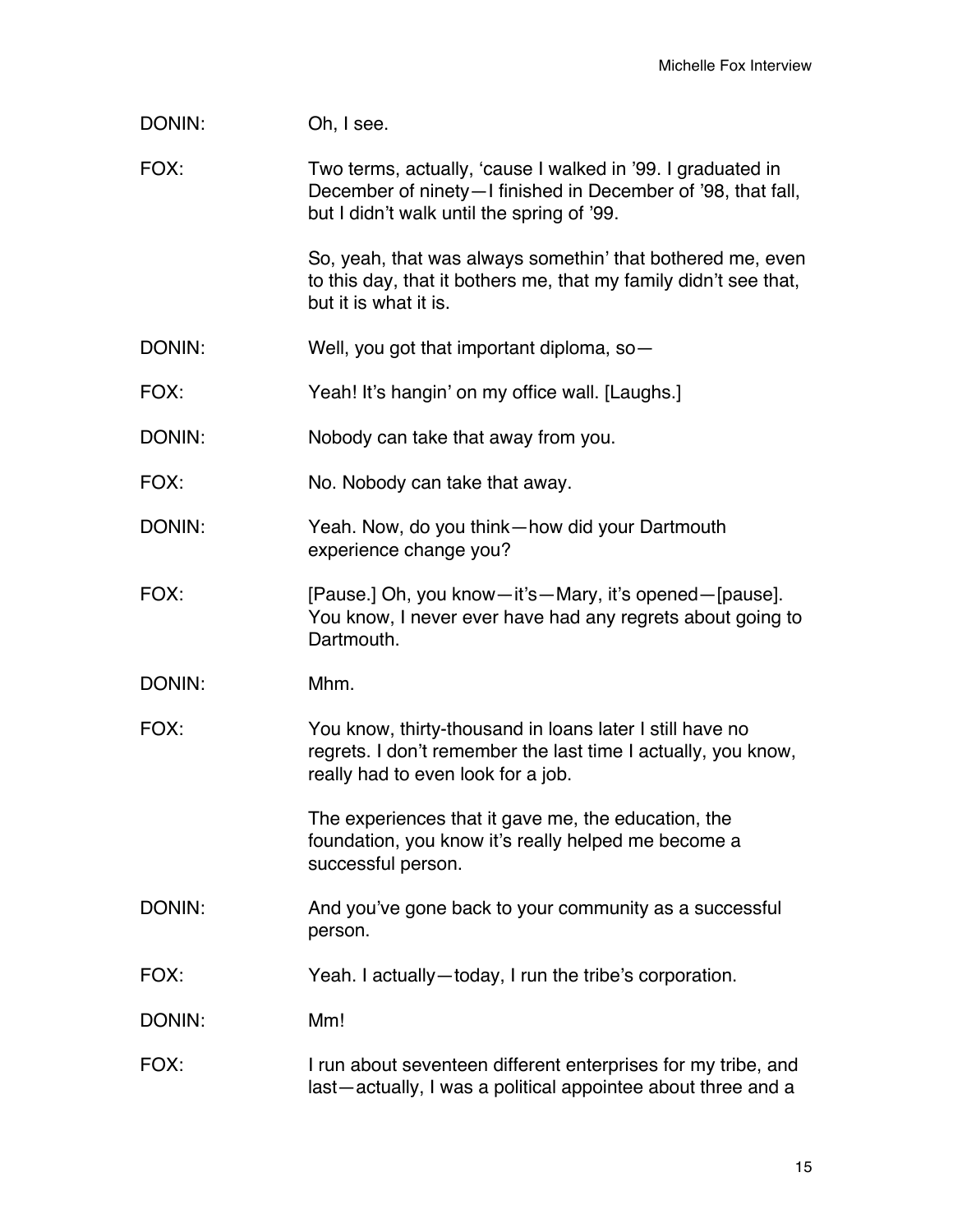| DONIN: | Oh, I see.                                                                                                                                                                |
|--------|---------------------------------------------------------------------------------------------------------------------------------------------------------------------------|
| FOX:   | Two terms, actually, 'cause I walked in '99. I graduated in<br>December of ninety-I finished in December of '98, that fall,<br>but I didn't walk until the spring of '99. |
|        | So, yeah, that was always somethin' that bothered me, even<br>to this day, that it bothers me, that my family didn't see that,<br>but it is what it is.                   |
| DONIN: | Well, you got that important diploma, so-                                                                                                                                 |
| FOX:   | Yeah! It's hangin' on my office wall. [Laughs.]                                                                                                                           |
| DONIN: | Nobody can take that away from you.                                                                                                                                       |
| FOX:   | No. Nobody can take that away.                                                                                                                                            |
| DONIN: | Yeah. Now, do you think-how did your Dartmouth<br>experience change you?                                                                                                  |
| FOX:   | [Pause.] Oh, you know-it's-Mary, it's opened-[pause].<br>You know, I never ever have had any regrets about going to<br>Dartmouth.                                         |
| DONIN: | Mhm.                                                                                                                                                                      |
| FOX:   | You know, thirty-thousand in loans later I still have no<br>regrets. I don't remember the last time I actually, you know,<br>really had to even look for a job.           |
|        | The experiences that it gave me, the education, the<br>foundation, you know it's really helped me become a<br>successful person.                                          |
| DONIN: | And you've gone back to your community as a successful<br>person.                                                                                                         |
| FOX:   | Yeah. I actually-today, I run the tribe's corporation.                                                                                                                    |
| DONIN: | Mm!                                                                                                                                                                       |
| FOX:   | I run about seventeen different enterprises for my tribe, and<br>last-actually, I was a political appointee about three and a                                             |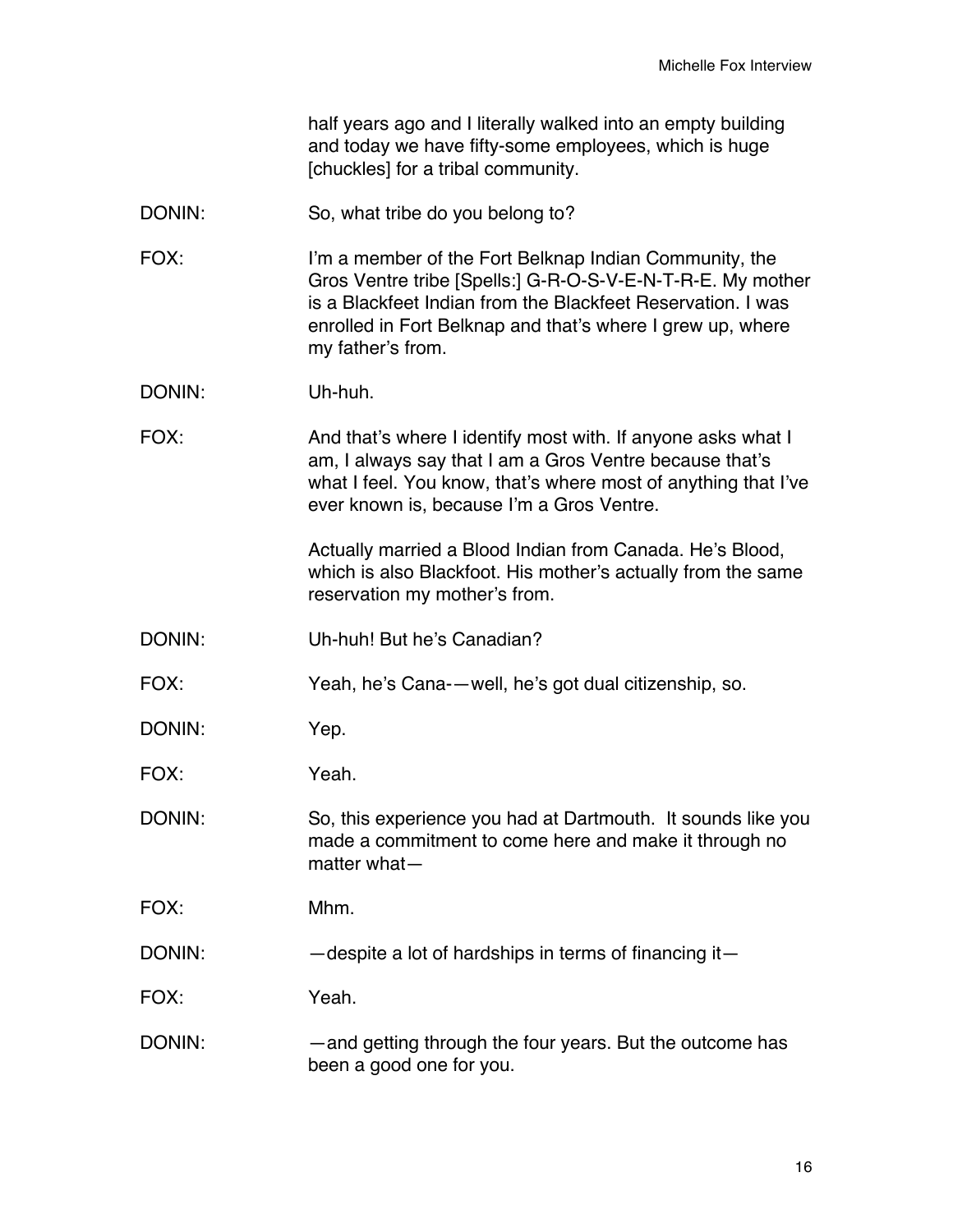| half years ago and I literally walked into an empty building |
|--------------------------------------------------------------|
| and today we have fifty-some employees, which is huge        |
| [chuckles] for a tribal community.                           |

- DONIN: So, what tribe do you belong to?
- FOX: I'm a member of the Fort Belknap Indian Community, the Gros Ventre tribe [Spells:] G-R-O-S-V-E-N-T-R-E. My mother is a Blackfeet Indian from the Blackfeet Reservation. I was enrolled in Fort Belknap and that's where I grew up, where my father's from.
- DONIN: Uh-huh.
- FOX: And that's where I identify most with. If anyone asks what I am, I always say that I am a Gros Ventre because that's what I feel. You know, that's where most of anything that I've ever known is, because I'm a Gros Ventre.

Actually married a Blood Indian from Canada. He's Blood, which is also Blackfoot. His mother's actually from the same reservation my mother's from.

DONIN: Uh-huh! But he's Canadian?

FOX: Yeah, he's Cana-—well, he's got dual citizenship, so.

DONIN: Yep.

FOX: Yeah.

DONIN: So, this experience you had at Dartmouth. It sounds like you made a commitment to come here and make it through no matter what—

FOX: Mhm.

DONIN: — despite a lot of hardships in terms of financing it—

FOX: Yeah.

DONIN: — — and getting through the four years. But the outcome has been a good one for you.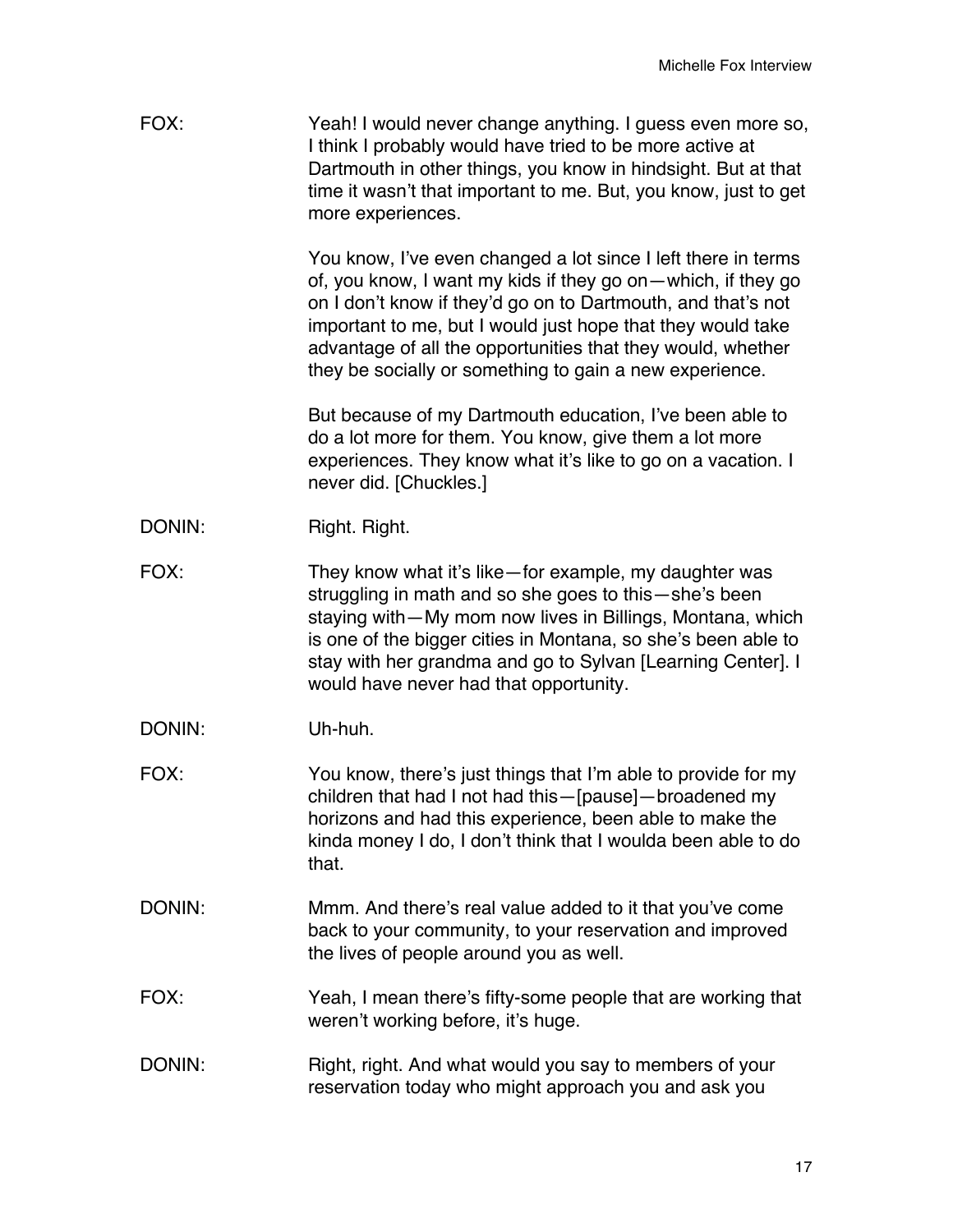| FOX:   | Yeah! I would never change anything. I guess even more so,<br>I think I probably would have tried to be more active at<br>Dartmouth in other things, you know in hindsight. But at that<br>time it wasn't that important to me. But, you know, just to get<br>more experiences.                                                                                                        |
|--------|----------------------------------------------------------------------------------------------------------------------------------------------------------------------------------------------------------------------------------------------------------------------------------------------------------------------------------------------------------------------------------------|
|        | You know, I've even changed a lot since I left there in terms<br>of, you know, I want my kids if they go on—which, if they go<br>on I don't know if they'd go on to Dartmouth, and that's not<br>important to me, but I would just hope that they would take<br>advantage of all the opportunities that they would, whether<br>they be socially or something to gain a new experience. |
|        | But because of my Dartmouth education, I've been able to<br>do a lot more for them. You know, give them a lot more<br>experiences. They know what it's like to go on a vacation. I<br>never did. [Chuckles.]                                                                                                                                                                           |
| DONIN: | Right. Right.                                                                                                                                                                                                                                                                                                                                                                          |
| FOX:   | They know what it's like-for example, my daughter was<br>struggling in math and so she goes to this - she's been<br>staying with-My mom now lives in Billings, Montana, which<br>is one of the bigger cities in Montana, so she's been able to<br>stay with her grandma and go to Sylvan [Learning Center]. I<br>would have never had that opportunity.                                |
| DONIN: | Uh-huh.                                                                                                                                                                                                                                                                                                                                                                                |
| FOX:   | You know, there's just things that I'm able to provide for my<br>children that had I not had this-[pause]-broadened my<br>horizons and had this experience, been able to make the<br>kinda money I do, I don't think that I woulda been able to do<br>that.                                                                                                                            |
| DONIN: | Mmm. And there's real value added to it that you've come<br>back to your community, to your reservation and improved<br>the lives of people around you as well.                                                                                                                                                                                                                        |
| FOX:   | Yeah, I mean there's fifty-some people that are working that<br>weren't working before, it's huge.                                                                                                                                                                                                                                                                                     |
| DONIN: | Right, right. And what would you say to members of your<br>reservation today who might approach you and ask you                                                                                                                                                                                                                                                                        |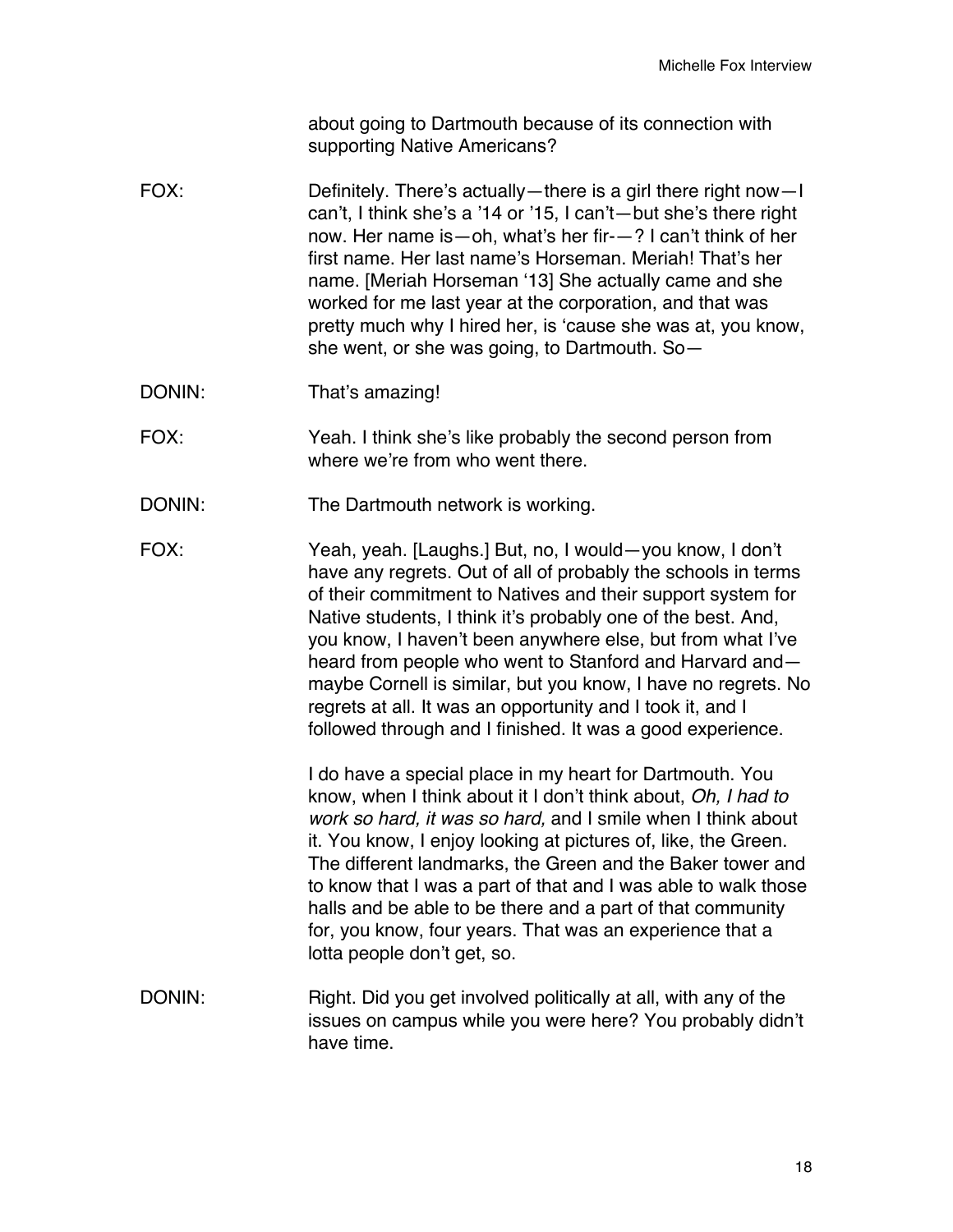about going to Dartmouth because of its connection with supporting Native Americans?

- FOX: Definitely. There's actually—there is a girl there right now—I can't, I think she's a '14 or '15, I can't—but she's there right now. Her name is—oh, what's her fir-—? I can't think of her first name. Her last name's Horseman. Meriah! That's her name. [Meriah Horseman '13] She actually came and she worked for me last year at the corporation, and that was pretty much why I hired her, is 'cause she was at, you know, she went, or she was going, to Dartmouth. So—
- DONIN: That's amazing!
- FOX: Yeah. I think she's like probably the second person from where we're from who went there.
- DONIN: The Dartmouth network is working.
- FOX: Yeah, yeah. [Laughs.] But, no, I would—you know, I don't have any regrets. Out of all of probably the schools in terms of their commitment to Natives and their support system for Native students, I think it's probably one of the best. And, you know, I haven't been anywhere else, but from what I've heard from people who went to Stanford and Harvard and maybe Cornell is similar, but you know, I have no regrets. No regrets at all. It was an opportunity and I took it, and I followed through and I finished. It was a good experience.

I do have a special place in my heart for Dartmouth. You know, when I think about it I don't think about, *Oh, I had to work so hard, it was so hard,* and I smile when I think about it. You know, I enjoy looking at pictures of, like, the Green. The different landmarks, the Green and the Baker tower and to know that I was a part of that and I was able to walk those halls and be able to be there and a part of that community for, you know, four years. That was an experience that a lotta people don't get, so.

DONIN: Right. Did you get involved politically at all, with any of the issues on campus while you were here? You probably didn't have time.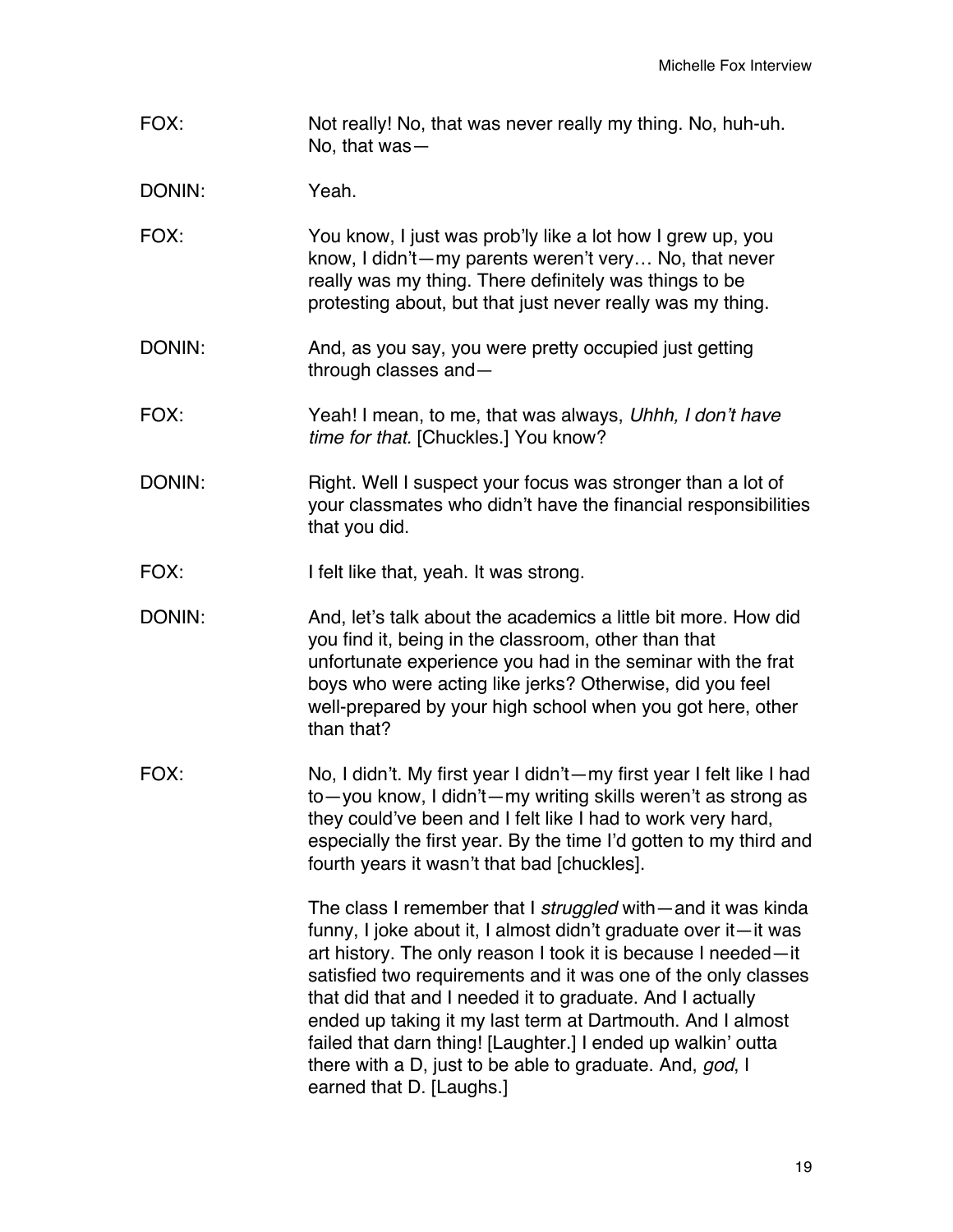FOX: Not really! No, that was never really my thing. No, huh-uh. No, that was—

DONIN: Yeah.

- FOX: You know, I just was prob'ly like a lot how I grew up, you know, I didn't—my parents weren't very… No, that never really was my thing. There definitely was things to be protesting about, but that just never really was my thing.
- DONIN: And, as you say, you were pretty occupied just getting through classes and—
- FOX: Yeah! I mean, to me, that was always, *Uhhh, I don't have time for that.* [Chuckles.] You know?
- DONIN: Right. Well I suspect your focus was stronger than a lot of your classmates who didn't have the financial responsibilities that you did.
- FOX: I felt like that, yeah. It was strong.
- DONIN: And, let's talk about the academics a little bit more. How did you find it, being in the classroom, other than that unfortunate experience you had in the seminar with the frat boys who were acting like jerks? Otherwise, did you feel well-prepared by your high school when you got here, other than that?
- FOX: No, I didn't. My first year I didn't—my first year I felt like I had to—you know, I didn't—my writing skills weren't as strong as they could've been and I felt like I had to work very hard, especially the first year. By the time I'd gotten to my third and fourth years it wasn't that bad [chuckles].

The class I remember that I *struggled* with—and it was kinda funny, I joke about it, I almost didn't graduate over it—it was art history. The only reason I took it is because I needed—it satisfied two requirements and it was one of the only classes that did that and I needed it to graduate. And I actually ended up taking it my last term at Dartmouth. And I almost failed that darn thing! [Laughter.] I ended up walkin' outta there with a D, just to be able to graduate. And, *god*, I earned that D. [Laughs.]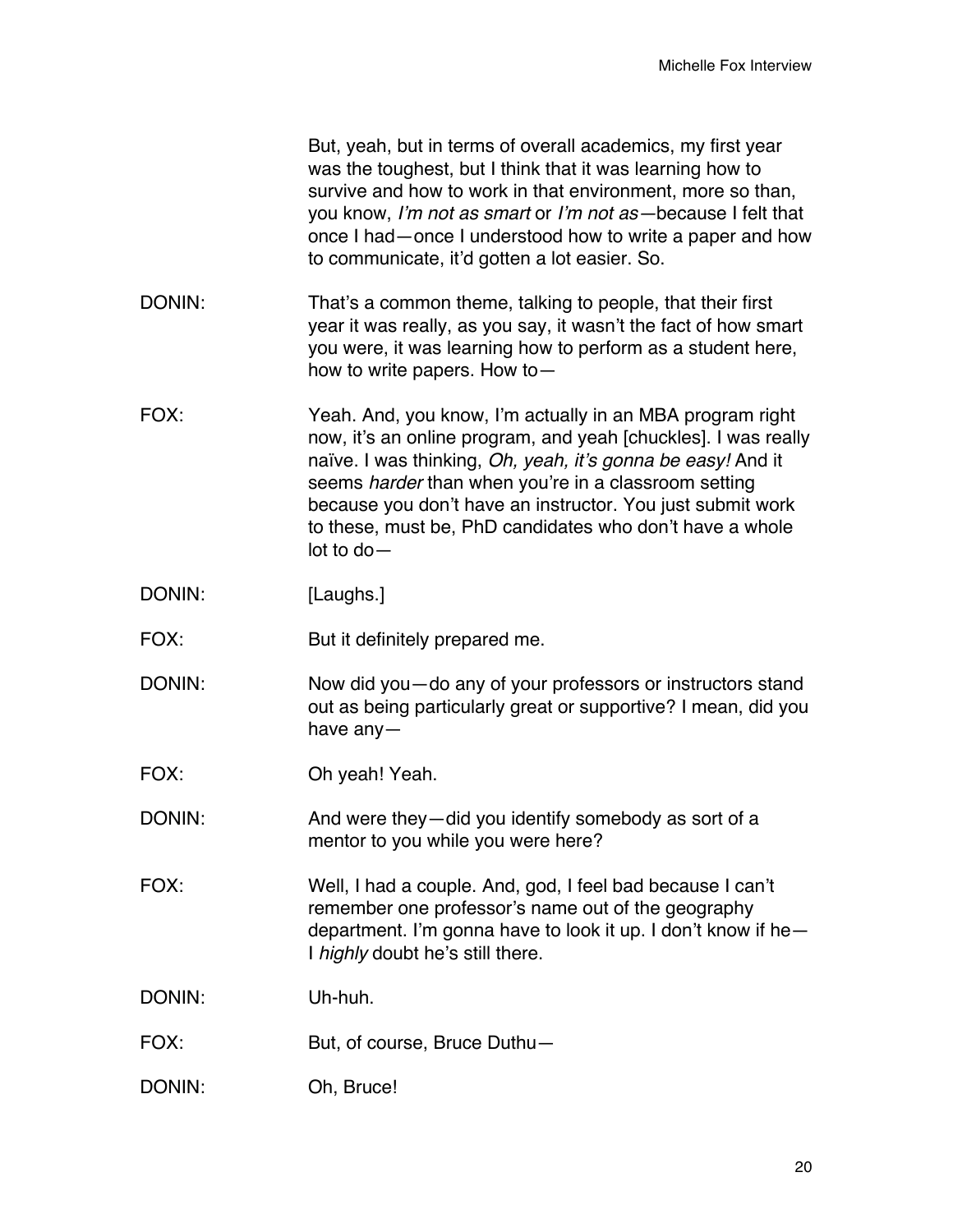|        | But, yeah, but in terms of overall academics, my first year<br>was the toughest, but I think that it was learning how to<br>survive and how to work in that environment, more so than,<br>you know, I'm not as smart or I'm not as-because I felt that<br>once I had—once I understood how to write a paper and how<br>to communicate, it'd gotten a lot easier. So.                            |
|--------|-------------------------------------------------------------------------------------------------------------------------------------------------------------------------------------------------------------------------------------------------------------------------------------------------------------------------------------------------------------------------------------------------|
| DONIN: | That's a common theme, talking to people, that their first<br>year it was really, as you say, it wasn't the fact of how smart<br>you were, it was learning how to perform as a student here,<br>how to write papers. How to $-$                                                                                                                                                                 |
| FOX:   | Yeah. And, you know, I'm actually in an MBA program right<br>now, it's an online program, and yeah [chuckles]. I was really<br>naïve. I was thinking, Oh, yeah, it's gonna be easy! And it<br>seems harder than when you're in a classroom setting<br>because you don't have an instructor. You just submit work<br>to these, must be, PhD candidates who don't have a whole<br>$lot$ to do $-$ |
| DONIN: | [Laughs.]                                                                                                                                                                                                                                                                                                                                                                                       |
| FOX:   | But it definitely prepared me.                                                                                                                                                                                                                                                                                                                                                                  |
| DONIN: | Now did you – do any of your professors or instructors stand<br>out as being particularly great or supportive? I mean, did you<br>have any $-$                                                                                                                                                                                                                                                  |
| FOX:   | Oh yeah! Yeah.                                                                                                                                                                                                                                                                                                                                                                                  |
| DONIN: | And were they—did you identify somebody as sort of a<br>mentor to you while you were here?                                                                                                                                                                                                                                                                                                      |
| FOX:   | Well, I had a couple. And, god, I feel bad because I can't<br>remember one professor's name out of the geography<br>department. I'm gonna have to look it up. I don't know if he-<br>I highly doubt he's still there.                                                                                                                                                                           |
| DONIN: | Uh-huh.                                                                                                                                                                                                                                                                                                                                                                                         |
| FOX:   | But, of course, Bruce Duthu-                                                                                                                                                                                                                                                                                                                                                                    |
| DONIN: | Oh, Bruce!                                                                                                                                                                                                                                                                                                                                                                                      |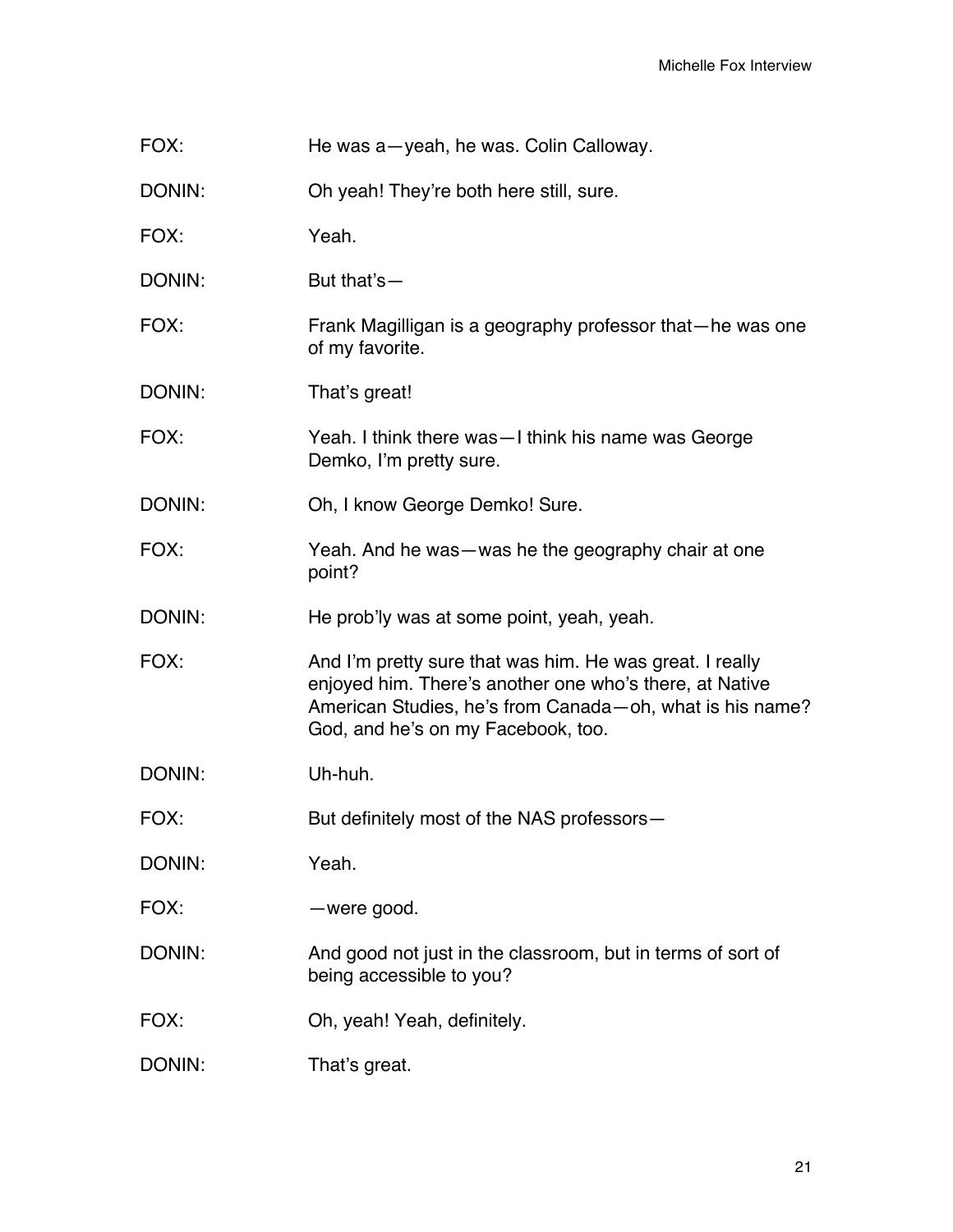| FOX:   | He was a-yeah, he was. Colin Calloway.                                                                                                                                                                                  |
|--------|-------------------------------------------------------------------------------------------------------------------------------------------------------------------------------------------------------------------------|
| DONIN: | Oh yeah! They're both here still, sure.                                                                                                                                                                                 |
| FOX:   | Yeah.                                                                                                                                                                                                                   |
| DONIN: | But that's-                                                                                                                                                                                                             |
| FOX:   | Frank Magilligan is a geography professor that—he was one<br>of my favorite.                                                                                                                                            |
| DONIN: | That's great!                                                                                                                                                                                                           |
| FOX:   | Yeah. I think there was—I think his name was George<br>Demko, I'm pretty sure.                                                                                                                                          |
| DONIN: | Oh, I know George Demko! Sure.                                                                                                                                                                                          |
| FOX:   | Yeah. And he was—was he the geography chair at one<br>point?                                                                                                                                                            |
| DONIN: | He prob'ly was at some point, yeah, yeah.                                                                                                                                                                               |
| FOX:   | And I'm pretty sure that was him. He was great. I really<br>enjoyed him. There's another one who's there, at Native<br>American Studies, he's from Canada - oh, what is his name?<br>God, and he's on my Facebook, too. |
| DONIN: | Uh-huh.                                                                                                                                                                                                                 |
| FOX:   | But definitely most of the NAS professors-                                                                                                                                                                              |
| DONIN: | Yeah.                                                                                                                                                                                                                   |
| FOX:   | -were good.                                                                                                                                                                                                             |
| DONIN: | And good not just in the classroom, but in terms of sort of<br>being accessible to you?                                                                                                                                 |

FOX: Oh, yeah! Yeah, definitely.

DONIN: That's great.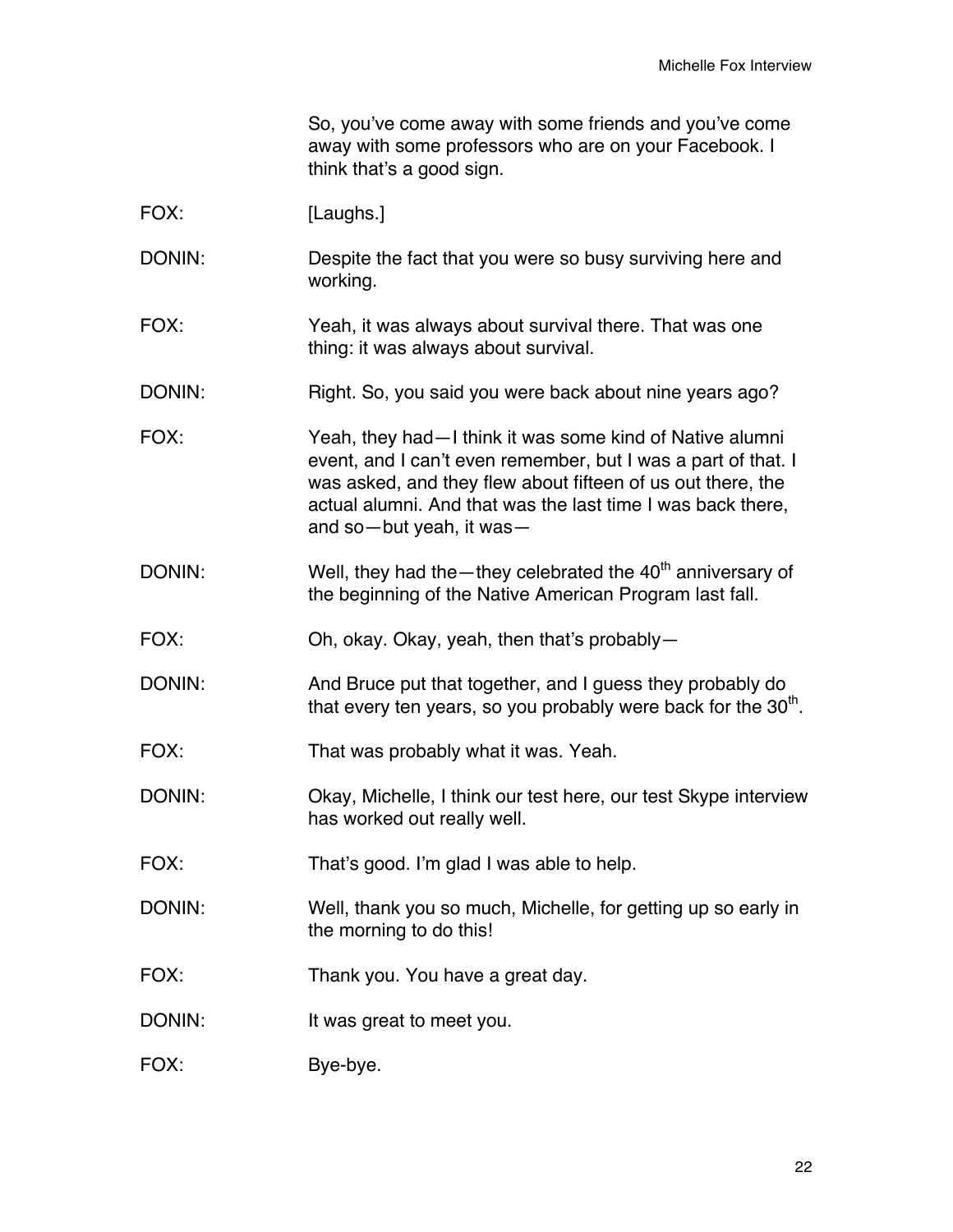So, you've come away with some friends and you've come away with some professors who are on your Facebook. I think that's a good sign.

| FOX:   | [Laughs.]                                                                                                                                                                                                                                                                             |
|--------|---------------------------------------------------------------------------------------------------------------------------------------------------------------------------------------------------------------------------------------------------------------------------------------|
| DONIN: | Despite the fact that you were so busy surviving here and<br>working.                                                                                                                                                                                                                 |
| FOX:   | Yeah, it was always about survival there. That was one<br>thing: it was always about survival.                                                                                                                                                                                        |
| DONIN: | Right. So, you said you were back about nine years ago?                                                                                                                                                                                                                               |
| FOX:   | Yeah, they had - I think it was some kind of Native alumni<br>event, and I can't even remember, but I was a part of that. I<br>was asked, and they flew about fifteen of us out there, the<br>actual alumni. And that was the last time I was back there,<br>and so-but yeah, it was- |
| DONIN: | Well, they had the - they celebrated the $40th$ anniversary of<br>the beginning of the Native American Program last fall.                                                                                                                                                             |
| FOX:   | Oh, okay. Okay, yeah, then that's probably-                                                                                                                                                                                                                                           |
| DONIN: | And Bruce put that together, and I guess they probably do<br>that every ten years, so you probably were back for the 30 <sup>th</sup> .                                                                                                                                               |
| FOX:   | That was probably what it was. Yeah.                                                                                                                                                                                                                                                  |
| DONIN: | Okay, Michelle, I think our test here, our test Skype interview<br>has worked out really well.                                                                                                                                                                                        |
| FOX:   | That's good. I'm glad I was able to help.                                                                                                                                                                                                                                             |
| DONIN: | Well, thank you so much, Michelle, for getting up so early in<br>the morning to do this!                                                                                                                                                                                              |
| FOX:   | Thank you. You have a great day.                                                                                                                                                                                                                                                      |
| DONIN: | It was great to meet you.                                                                                                                                                                                                                                                             |
| FOX:   | Bye-bye.                                                                                                                                                                                                                                                                              |